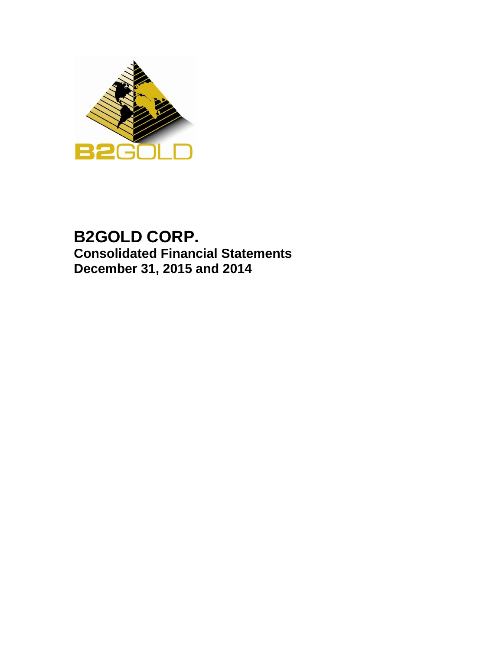

# **B2GOLD CORP. Consolidated Financial Statements December 31, 2015 and 2014**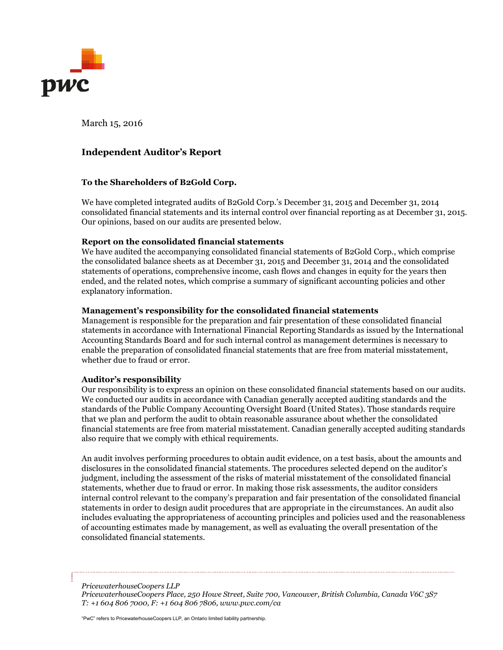

March 15, 2016

# **Independent Auditor's Report**

# **To the Shareholders of B2Gold Corp.**

We have completed integrated audits of B2Gold Corp.'s December 31, 2015 and December 31, 2014 consolidated financial statements and its internal control over financial reporting as at December 31, 2015. Our opinions, based on our audits are presented below.

### **Report on the consolidated financial statements**

We have audited the accompanying consolidated financial statements of B2Gold Corp., which comprise the consolidated balance sheets as at December 31, 2015 and December 31, 2014 and the consolidated statements of operations, comprehensive income, cash flows and changes in equity for the years then ended, and the related notes, which comprise a summary of significant accounting policies and other explanatory information.

### **Management's responsibility for the consolidated financial statements**

Management is responsible for the preparation and fair presentation of these consolidated financial statements in accordance with International Financial Reporting Standards as issued by the International Accounting Standards Board and for such internal control as management determines is necessary to enable the preparation of consolidated financial statements that are free from material misstatement, whether due to fraud or error.

### **Auditor's responsibility**

Our responsibility is to express an opinion on these consolidated financial statements based on our audits. We conducted our audits in accordance with Canadian generally accepted auditing standards and the standards of the Public Company Accounting Oversight Board (United States). Those standards require that we plan and perform the audit to obtain reasonable assurance about whether the consolidated financial statements are free from material misstatement. Canadian generally accepted auditing standards also require that we comply with ethical requirements.

An audit involves performing procedures to obtain audit evidence, on a test basis, about the amounts and disclosures in the consolidated financial statements. The procedures selected depend on the auditor's judgment, including the assessment of the risks of material misstatement of the consolidated financial statements, whether due to fraud or error. In making those risk assessments, the auditor considers internal control relevant to the company's preparation and fair presentation of the consolidated financial statements in order to design audit procedures that are appropriate in the circumstances. An audit also includes evaluating the appropriateness of accounting principles and policies used and the reasonableness of accounting estimates made by management, as well as evaluating the overall presentation of the consolidated financial statements.

*PricewaterhouseCoopers LLP*

*PricewaterhouseCoopers Place, 250 Howe Street, Suite 700, Vancouver, British Columbia, Canada V6C 3S7 T: +1 604 806 7000, F: +1 604 806 7806, www.pwc.com/ca*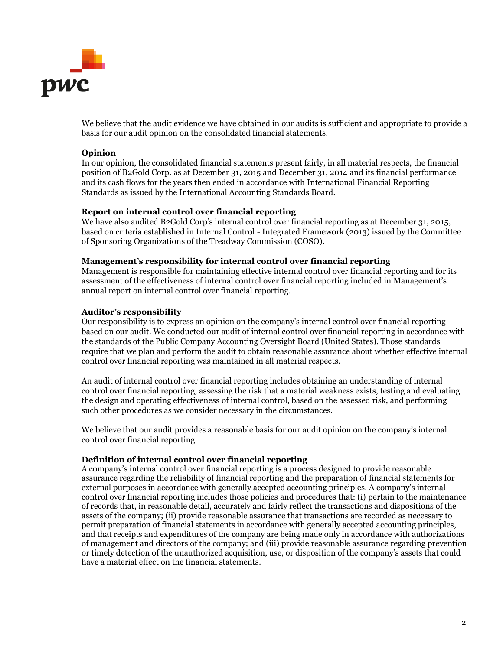

We believe that the audit evidence we have obtained in our audits is sufficient and appropriate to provide a basis for our audit opinion on the consolidated financial statements.

### **Opinion**

In our opinion, the consolidated financial statements present fairly, in all material respects, the financial position of B2Gold Corp. as at December 31, 2015 and December 31, 2014 and its financial performance and its cash flows for the years then ended in accordance with International Financial Reporting Standards as issued by the International Accounting Standards Board.

### **Report on internal control over financial reporting**

We have also audited B2Gold Corp's internal control over financial reporting as at December 31, 2015, based on criteria established in Internal Control - Integrated Framework (2013) issued by the Committee of Sponsoring Organizations of the Treadway Commission (COSO).

### **Management's responsibility for internal control over financial reporting**

Management is responsible for maintaining effective internal control over financial reporting and for its assessment of the effectiveness of internal control over financial reporting included in Management's annual report on internal control over financial reporting.

### **Auditor's responsibility**

Our responsibility is to express an opinion on the company's internal control over financial reporting based on our audit. We conducted our audit of internal control over financial reporting in accordance with the standards of the Public Company Accounting Oversight Board (United States). Those standards require that we plan and perform the audit to obtain reasonable assurance about whether effective internal control over financial reporting was maintained in all material respects.

An audit of internal control over financial reporting includes obtaining an understanding of internal control over financial reporting, assessing the risk that a material weakness exists, testing and evaluating the design and operating effectiveness of internal control, based on the assessed risk, and performing such other procedures as we consider necessary in the circumstances.

We believe that our audit provides a reasonable basis for our audit opinion on the company's internal control over financial reporting.

### **Definition of internal control over financial reporting**

A company's internal control over financial reporting is a process designed to provide reasonable assurance regarding the reliability of financial reporting and the preparation of financial statements for external purposes in accordance with generally accepted accounting principles. A company's internal control over financial reporting includes those policies and procedures that: (i) pertain to the maintenance of records that, in reasonable detail, accurately and fairly reflect the transactions and dispositions of the assets of the company; (ii) provide reasonable assurance that transactions are recorded as necessary to permit preparation of financial statements in accordance with generally accepted accounting principles, and that receipts and expenditures of the company are being made only in accordance with authorizations of management and directors of the company; and (iii) provide reasonable assurance regarding prevention or timely detection of the unauthorized acquisition, use, or disposition of the company's assets that could have a material effect on the financial statements.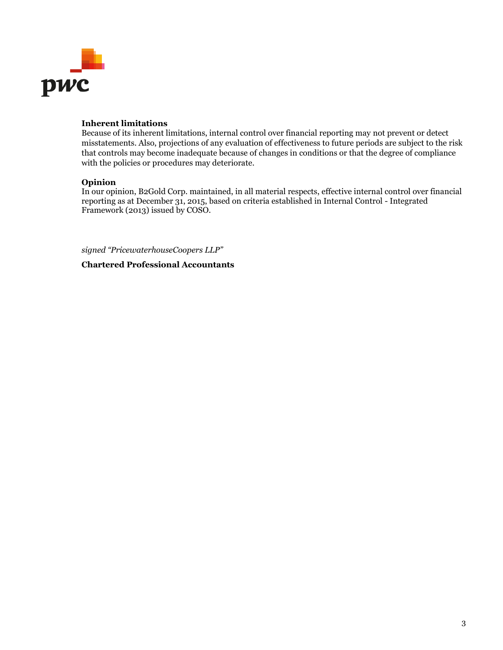

### **Inherent limitations**

Because of its inherent limitations, internal control over financial reporting may not prevent or detect misstatements. Also, projections of any evaluation of effectiveness to future periods are subject to the risk that controls may become inadequate because of changes in conditions or that the degree of compliance with the policies or procedures may deteriorate.

### **Opinion**

In our opinion, B2Gold Corp. maintained, in all material respects, effective internal control over financial reporting as at December 31, 2015, based on criteria established in Internal Control - Integrated Framework (2013) issued by COSO.

*signed "PricewaterhouseCoopers LLP"*

**Chartered Professional Accountants**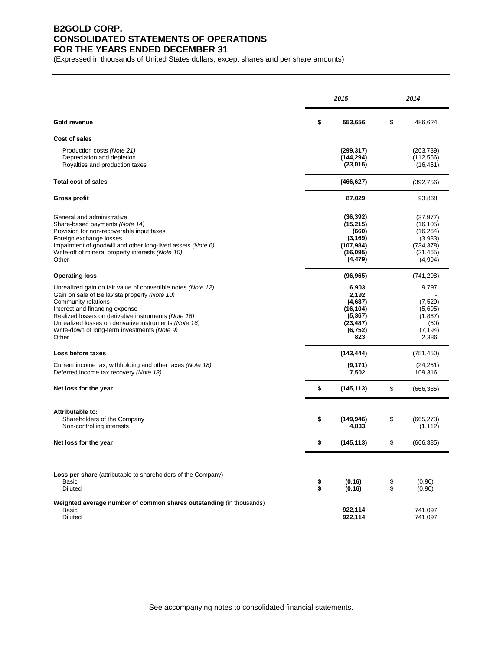# **B2GOLD CORP. CONSOLIDATED STATEMENTS OF OPERATIONS FOR THE YEARS ENDED DECEMBER 31**

(Expressed in thousands of United States dollars, except shares and per share amounts)

|                                                                                                                                                                                                                                                                                                                                                 |          | 2015                                                                               | 2014                                                                                 |
|-------------------------------------------------------------------------------------------------------------------------------------------------------------------------------------------------------------------------------------------------------------------------------------------------------------------------------------------------|----------|------------------------------------------------------------------------------------|--------------------------------------------------------------------------------------|
| Gold revenue                                                                                                                                                                                                                                                                                                                                    | \$       | 553,656                                                                            | \$<br>486,624                                                                        |
| Cost of sales                                                                                                                                                                                                                                                                                                                                   |          |                                                                                    |                                                                                      |
| Production costs (Note 21)<br>Depreciation and depletion<br>Royalties and production taxes                                                                                                                                                                                                                                                      |          | (299, 317)<br>(144, 294)<br>(23,016)                                               | (263, 739)<br>(112, 556)<br>(16, 461)                                                |
| <b>Total cost of sales</b>                                                                                                                                                                                                                                                                                                                      |          | (466, 627)                                                                         | (392, 756)                                                                           |
| <b>Gross profit</b>                                                                                                                                                                                                                                                                                                                             |          | 87,029                                                                             | 93,868                                                                               |
| General and administrative<br>Share-based payments (Note 14)<br>Provision for non-recoverable input taxes<br>Foreign exchange losses<br>Impairment of goodwill and other long-lived assets (Note 6)<br>Write-off of mineral property interests (Note 10)<br>Other                                                                               |          | (36, 392)<br>(15, 215)<br>(660)<br>(3, 169)<br>(107, 984)<br>(16,095)<br>(4, 479)  | (37, 977)<br>(16, 105)<br>(16, 264)<br>(3,983)<br>(734, 378)<br>(21, 465)<br>(4,994) |
| <b>Operating loss</b>                                                                                                                                                                                                                                                                                                                           |          | (96, 965)                                                                          | (741, 298)                                                                           |
| Unrealized gain on fair value of convertible notes (Note 12)<br>Gain on sale of Bellavista property (Note 10)<br>Community relations<br>Interest and financing expense<br>Realized losses on derivative instruments (Note 16)<br>Unrealized losses on derivative instruments (Note 16)<br>Write-down of long-term investments (Note 9)<br>Other |          | 6,903<br>2,192<br>(4,687)<br>(16, 104)<br>(5, 367)<br>(23, 487)<br>(6, 752)<br>823 | 9,797<br>(7, 529)<br>(5,695)<br>(1,867)<br>(50)<br>(7, 194)<br>2,386                 |
| Loss before taxes                                                                                                                                                                                                                                                                                                                               |          | (143, 444)                                                                         | (751, 450)                                                                           |
| Current income tax, withholding and other taxes (Note 18)<br>Deferred income tax recovery (Note 18)                                                                                                                                                                                                                                             |          | (9, 171)<br>7,502                                                                  | (24, 251)<br>109,316                                                                 |
| Net loss for the year                                                                                                                                                                                                                                                                                                                           | \$       | (145, 113)                                                                         | \$<br>(666, 385)                                                                     |
| Attributable to:<br>Shareholders of the Company<br>Non-controlling interests                                                                                                                                                                                                                                                                    | \$       | (149, 946)<br>4,833                                                                | \$<br>(665, 273)<br>(1, 112)                                                         |
| Net loss for the year                                                                                                                                                                                                                                                                                                                           | \$       | (145, 113)                                                                         | \$<br>(666, 385)                                                                     |
|                                                                                                                                                                                                                                                                                                                                                 |          |                                                                                    |                                                                                      |
| <b>Loss per share</b> (attributable to shareholders of the Company)<br>Basic<br><b>Diluted</b>                                                                                                                                                                                                                                                  | \$<br>\$ | (0.16)<br>(0.16)                                                                   | \$<br>(0.90)<br>(0.90)                                                               |
| Weighted average number of common shares outstanding (in thousands)<br>Basic<br><b>Diluted</b>                                                                                                                                                                                                                                                  |          | 922,114<br>922,114                                                                 | 741.097<br>741,097                                                                   |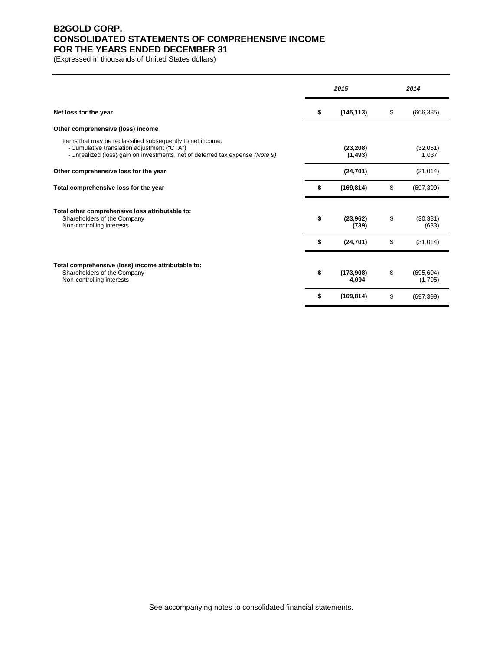# **B2GOLD CORP. CONSOLIDATED STATEMENTS OF COMPREHENSIVE INCOME FOR THE YEARS ENDED DECEMBER 31**

(Expressed in thousands of United States dollars)

|                                                                                                                                                                                            | 2015                     | 2014                        |
|--------------------------------------------------------------------------------------------------------------------------------------------------------------------------------------------|--------------------------|-----------------------------|
| Net loss for the year                                                                                                                                                                      | \$<br>(145, 113)         | \$<br>(666, 385)            |
| Other comprehensive (loss) income                                                                                                                                                          |                          |                             |
| Items that may be reclassified subsequently to net income:<br>- Cumulative translation adjustment ("CTA")<br>- Unrealized (loss) gain on investments, net of deferred tax expense (Note 9) | (23, 208)<br>(1, 493)    | (32,051)<br>1,037           |
| Other comprehensive loss for the year                                                                                                                                                      | (24, 701)                | (31, 014)                   |
| Total comprehensive loss for the year                                                                                                                                                      | \$<br>(169, 814)         | \$<br>(697, 399)            |
| Total other comprehensive loss attributable to:<br>Shareholders of the Company<br>Non-controlling interests                                                                                | \$<br>(23, 962)<br>(739) | \$<br>(30, 331)<br>(683)    |
|                                                                                                                                                                                            | \$<br>(24, 701)          | \$<br>(31, 014)             |
| Total comprehensive (loss) income attributable to:<br>Shareholders of the Company<br>Non-controlling interests                                                                             | \$<br>(173,908)<br>4.094 | \$<br>(695, 604)<br>(1,795) |
|                                                                                                                                                                                            | \$<br>(169, 814)         | \$<br>(697, 399)            |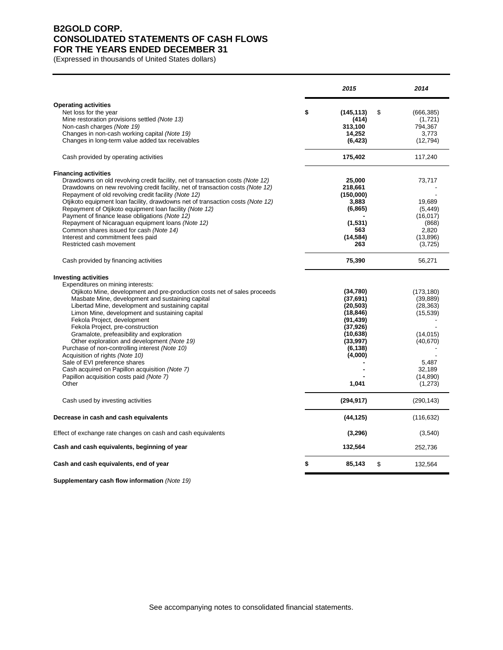# **B2GOLD CORP. CONSOLIDATED STATEMENTS OF CASH FLOWS FOR THE YEARS ENDED DECEMBER 31**

(Expressed in thousands of United States dollars)

|                                                                                | 2015                   | 2014       |
|--------------------------------------------------------------------------------|------------------------|------------|
| <b>Operating activities</b>                                                    |                        |            |
| Net loss for the year                                                          | \$<br>(145, 113)<br>\$ | (666, 385) |
| Mine restoration provisions settled (Note 13)                                  | (414)                  | (1,721)    |
| Non-cash charges (Note 19)                                                     | 313,100                | 794,367    |
| Changes in non-cash working capital (Note 19)                                  | 14,252                 | 3,773      |
| Changes in long-term value added tax receivables                               | (6, 423)               | (12, 794)  |
| Cash provided by operating activities                                          | 175,402                | 117,240    |
| <b>Financing activities</b>                                                    |                        |            |
| Drawdowns on old revolving credit facility, net of transaction costs (Note 12) | 25.000                 | 73,717     |
| Drawdowns on new revolving credit facility, net of transaction costs (Note 12) | 218,661                |            |
| Repayment of old revolving credit facility (Note 12)                           | (150,000)              |            |
| Otjikoto equipment loan facility, drawdowns net of transaction costs (Note 12) | 3,883                  | 19.689     |
| Repayment of Otjikoto equipment loan facility (Note 12)                        | (6, 865)               | (5, 449)   |
| Payment of finance lease obligations (Note 12)                                 |                        | (16, 017)  |
| Repayment of Nicaraguan equipment loans (Note 12)                              | (1,531)                | (868)      |
| Common shares issued for cash (Note 14)                                        | 563                    | 2,820      |
| Interest and commitment fees paid                                              | (14, 584)              | (13,896)   |
| Restricted cash movement                                                       | 263                    | (3,725)    |
|                                                                                |                        |            |
| Cash provided by financing activities                                          | 75,390                 | 56,271     |
| <b>Investing activities</b>                                                    |                        |            |
| Expenditures on mining interests:                                              |                        |            |
| Otjikoto Mine, development and pre-production costs net of sales proceeds      | (34,780)               | (173, 180) |
| Masbate Mine, development and sustaining capital                               | (37, 691)              | (39, 889)  |
| Libertad Mine, development and sustaining capital                              | (20, 503)              | (28, 363)  |
| Limon Mine, development and sustaining capital                                 | (18, 846)              | (15, 539)  |
| Fekola Project, development                                                    | (91, 439)              |            |
| Fekola Project, pre-construction                                               | (37, 926)              |            |
| Gramalote, prefeasibility and exploration                                      | (10, 638)              | (14, 015)  |
| Other exploration and development (Note 19)                                    | (33,997)               | (40, 670)  |
| Purchase of non-controlling interest (Note 10)                                 | (6, 138)               |            |
| Acquisition of rights (Note 10)                                                | (4,000)                |            |
| Sale of EVI preference shares                                                  |                        | 5,487      |
| Cash acquired on Papillon acquisition (Note 7)                                 |                        | 32.189     |
| Papillon acquisition costs paid (Note 7)                                       |                        | (14, 890)  |
| Other                                                                          | 1,041                  | (1,273)    |
| Cash used by investing activities                                              | (294, 917)             | (290, 143) |
|                                                                                |                        |            |
| Decrease in cash and cash equivalents                                          | (44, 125)              | (116, 632) |
| Effect of exchange rate changes on cash and cash equivalents                   | (3,296)                | (3,540)    |
| Cash and cash equivalents, beginning of year                                   | 132,564                | 252,736    |
| Cash and cash equivalents, end of year                                         | \$<br>85,143<br>\$     | 132,564    |
|                                                                                |                        |            |

**Supplementary cash flow information** *(Note 19)*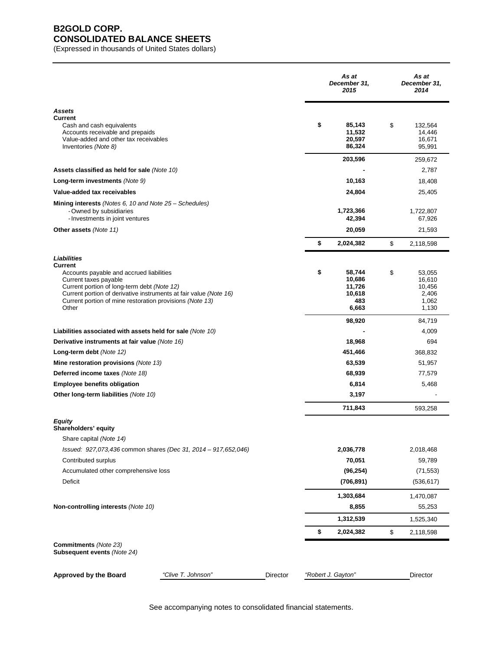# **B2GOLD CORP. CONSOLIDATED BALANCE SHEETS**

(Expressed in thousands of United States dollars)

|                                                                                                                                                                                                  |                                                                   |          | As at<br>December 31,<br>2015                              | As at<br>December 31,<br>2014                               |
|--------------------------------------------------------------------------------------------------------------------------------------------------------------------------------------------------|-------------------------------------------------------------------|----------|------------------------------------------------------------|-------------------------------------------------------------|
| Assets                                                                                                                                                                                           |                                                                   |          |                                                            |                                                             |
| <b>Current</b><br>Cash and cash equivalents<br>Accounts receivable and prepaids<br>Value-added and other tax receivables<br>Inventories (Note 8)                                                 |                                                                   |          | \$<br>85,143<br>11,532<br>20,597<br>86,324                 | \$<br>132,564<br>14,446<br>16,671<br>95,991                 |
|                                                                                                                                                                                                  |                                                                   |          | 203,596                                                    | 259,672                                                     |
| Assets classified as held for sale (Note 10)                                                                                                                                                     |                                                                   |          |                                                            | 2,787                                                       |
| Long-term investments (Note 9)                                                                                                                                                                   |                                                                   |          | 10,163                                                     | 18,408                                                      |
| Value-added tax receivables                                                                                                                                                                      |                                                                   |          | 24,804                                                     | 25,405                                                      |
| <b>Mining interests</b> (Notes 6, 10 and Note 25 – Schedules)<br>- Owned by subsidiaries<br>- Investments in joint ventures                                                                      |                                                                   |          | 1,723,366<br>42,394                                        | 1,722,807<br>67,926                                         |
| <b>Other assets (Note 11)</b>                                                                                                                                                                    |                                                                   |          | 20,059                                                     | 21,593                                                      |
|                                                                                                                                                                                                  |                                                                   |          | \$<br>2,024,382                                            | \$<br>2,118,598                                             |
| <b>Liabilities</b>                                                                                                                                                                               |                                                                   |          |                                                            |                                                             |
| Current<br>Accounts payable and accrued liabilities<br>Current taxes payable<br>Current portion of long-term debt (Note 12)<br>Current portion of mine restoration provisions (Note 13)<br>Other | Current portion of derivative instruments at fair value (Note 16) |          | \$<br>58,744<br>10,686<br>11,726<br>10,618<br>483<br>6,663 | \$<br>53,055<br>16,610<br>10,456<br>2,406<br>1,062<br>1,130 |
|                                                                                                                                                                                                  |                                                                   |          | 98,920                                                     | 84,719                                                      |
| Liabilities associated with assets held for sale (Note 10)                                                                                                                                       |                                                                   |          |                                                            | 4,009                                                       |
| Derivative instruments at fair value (Note 16)                                                                                                                                                   |                                                                   |          | 18,968                                                     | 694                                                         |
| Long-term debt (Note 12)                                                                                                                                                                         |                                                                   |          | 451,466                                                    | 368,832                                                     |
| Mine restoration provisions (Note 13)                                                                                                                                                            |                                                                   |          | 63,539                                                     | 51,957                                                      |
| Deferred income taxes (Note 18)                                                                                                                                                                  |                                                                   |          | 68,939                                                     | 77,579                                                      |
| <b>Employee benefits obligation</b>                                                                                                                                                              |                                                                   |          | 6,814                                                      | 5,468                                                       |
| Other long-term liabilities (Note 10)                                                                                                                                                            |                                                                   |          | 3,197                                                      |                                                             |
|                                                                                                                                                                                                  |                                                                   |          | 711,843                                                    | 593,258                                                     |
| Equity<br>Shareholders' equity                                                                                                                                                                   |                                                                   |          |                                                            |                                                             |
| Share capital (Note 14)                                                                                                                                                                          |                                                                   |          |                                                            |                                                             |
|                                                                                                                                                                                                  | Issued: 927,073,436 common shares (Dec 31, 2014 - 917,652,046)    |          | 2,036,778                                                  | 2,018,468                                                   |
| Contributed surplus                                                                                                                                                                              |                                                                   |          | 70,051                                                     | 59,789                                                      |
| Accumulated other comprehensive loss                                                                                                                                                             |                                                                   |          | (96, 254)                                                  | (71, 553)                                                   |
| Deficit                                                                                                                                                                                          |                                                                   |          | (706, 891)                                                 | (536, 617)                                                  |
|                                                                                                                                                                                                  |                                                                   |          | 1,303,684                                                  | 1,470,087                                                   |
| Non-controlling interests (Note 10)                                                                                                                                                              |                                                                   |          | 8,855                                                      | 55,253                                                      |
|                                                                                                                                                                                                  |                                                                   |          | 1,312,539                                                  | 1,525,340                                                   |
|                                                                                                                                                                                                  |                                                                   |          | \$<br>2,024,382                                            | \$<br>2,118,598                                             |
| Commitments (Note 23)<br>Subsequent events (Note 24)                                                                                                                                             |                                                                   |          |                                                            |                                                             |
| <b>Approved by the Board</b>                                                                                                                                                                     | "Clive T. Johnson"                                                | Director | "Robert J. Gayton"                                         | Director                                                    |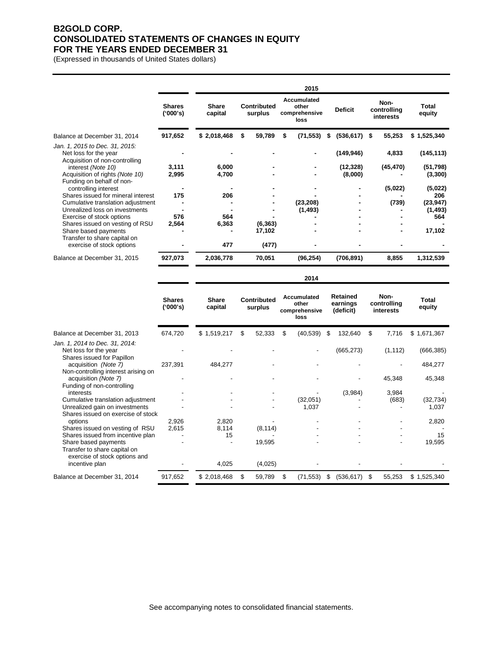# **B2GOLD CORP. CONSOLIDATED STATEMENTS OF CHANGES IN EQUITY FOR THE YEARS ENDED DECEMBER 31**

(Expressed in thousands of United States dollars)

|                                                                                                           |                           |                         |                               | 2015                                          |                       |                                  |                              |
|-----------------------------------------------------------------------------------------------------------|---------------------------|-------------------------|-------------------------------|-----------------------------------------------|-----------------------|----------------------------------|------------------------------|
|                                                                                                           | <b>Shares</b><br>('000's) | <b>Share</b><br>capital | <b>Contributed</b><br>surplus | Accumulated<br>other<br>comprehensive<br>loss | <b>Deficit</b>        | Non-<br>controlling<br>interests | Total<br>equity              |
| Balance at December 31, 2014                                                                              | 917,652                   | \$2,018,468             | 59,789<br>S                   | (71, 553)<br>S                                | $(536, 617)$ \$<br>\$ | 55,253                           | \$1,525,340                  |
| Jan. 1, 2015 to Dec. 31, 2015:<br>Net loss for the year<br>Acquisition of non-controlling                 |                           |                         |                               |                                               | (149, 946)            | 4,833                            | (145, 113)                   |
| interest (Note 10)<br>Acquisition of rights (Note 10)<br>Funding on behalf of non-                        | 3,111<br>2,995            | 6,000<br>4,700          |                               |                                               | (12, 328)<br>(8,000)  | (45, 470)                        | (51, 798)<br>(3,300)         |
| controlling interest                                                                                      |                           |                         |                               |                                               |                       | (5,022)                          | (5,022)                      |
| Shares issued for mineral interest<br>Cumulative translation adjustment<br>Unrealized loss on investments | 175                       | 206                     |                               | (23, 208)<br>(1, 493)                         |                       | (739)                            | 206<br>(23, 947)<br>(1, 493) |
| Exercise of stock options                                                                                 | 576<br>2,564              | 564                     |                               |                                               |                       |                                  | 564                          |
| Shares issued on vesting of RSU<br>Share based payments                                                   |                           | 6,363                   | (6, 363)<br>17,102            |                                               |                       |                                  | 17,102                       |
| Transfer to share capital on<br>exercise of stock options                                                 |                           | 477                     | (477)                         |                                               |                       |                                  |                              |
| Balance at December 31, 2015                                                                              | 927,073                   | 2,036,778               | 70,051                        | (96, 254)                                     | (706, 891)            | 8,855                            | 1,312,539                    |

**2014**

|                                                                                           | <b>Shares</b><br>('000's) | <b>Share</b><br>capital |    | <b>Contributed</b><br>surplus |    | Accumulated<br>other<br>comprehensive<br>loss |     | <b>Retained</b><br>earnings<br>(deficit) |     | Non-<br>controlling<br>interests | Total<br>equity |
|-------------------------------------------------------------------------------------------|---------------------------|-------------------------|----|-------------------------------|----|-----------------------------------------------|-----|------------------------------------------|-----|----------------------------------|-----------------|
| Balance at December 31, 2013                                                              | 674,720                   | \$1,519,217             | \$ | 52,333                        | \$ | (40, 539)                                     | -S  | 132,640                                  | \$. | 7,716                            | \$1,671,367     |
| Jan. 1, 2014 to Dec. 31, 2014:<br>Net loss for the year<br>Shares issued for Papillon     |                           |                         |    |                               |    |                                               |     | (665, 273)                               |     | (1, 112)                         | (666, 385)      |
| acquisition (Note 7)                                                                      | 237,391                   | 484,277                 |    |                               |    |                                               |     |                                          |     |                                  | 484,277         |
| Non-controlling interest arising on<br>acquisition (Note 7)<br>Funding of non-controlling |                           |                         |    |                               |    |                                               |     |                                          |     | 45,348                           | 45,348          |
| interests                                                                                 |                           |                         |    |                               |    |                                               |     | (3,984)                                  |     | 3,984                            |                 |
| Cumulative translation adjustment                                                         |                           |                         |    |                               |    | (32,051)                                      |     |                                          |     | (683)                            | (32, 734)       |
| Unrealized gain on investments<br>Shares issued on exercise of stock                      |                           |                         |    |                               |    | 1,037                                         |     |                                          |     |                                  | 1,037           |
| options                                                                                   | 2,926                     | 2,820                   |    |                               |    |                                               |     |                                          |     |                                  | 2,820           |
| Shares issued on vesting of RSU                                                           | 2,615                     | 8,114                   |    | (8, 114)                      |    |                                               |     |                                          |     |                                  |                 |
| Shares issued from incentive plan                                                         |                           | 15                      |    |                               |    |                                               |     |                                          |     |                                  | 15              |
| Share based payments                                                                      |                           |                         |    | 19,595                        |    |                                               |     |                                          |     |                                  | 19,595          |
| Transfer to share capital on<br>exercise of stock options and<br>incentive plan           |                           | 4,025                   |    | (4,025)                       |    |                                               |     |                                          |     |                                  |                 |
| Balance at December 31, 2014                                                              | 917,652                   | \$2,018,468             | S  | 59,789                        | S  | (71, 553)                                     | \$. | (536, 617)                               | S   | 55,253                           | \$1,525,340     |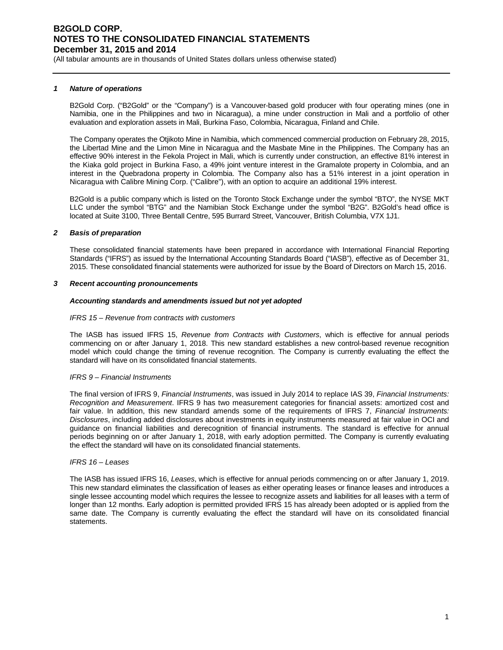(All tabular amounts are in thousands of United States dollars unless otherwise stated)

### *1 Nature of operations*

B2Gold Corp. ("B2Gold" or the "Company") is a Vancouver-based gold producer with four operating mines (one in Namibia, one in the Philippines and two in Nicaragua), a mine under construction in Mali and a portfolio of other evaluation and exploration assets in Mali, Burkina Faso, Colombia, Nicaragua, Finland and Chile.

The Company operates the Otjikoto Mine in Namibia, which commenced commercial production on February 28, 2015, the Libertad Mine and the Limon Mine in Nicaragua and the Masbate Mine in the Philippines. The Company has an effective 90% interest in the Fekola Project in Mali, which is currently under construction, an effective 81% interest in the Kiaka gold project in Burkina Faso, a 49% joint venture interest in the Gramalote property in Colombia, and an interest in the Quebradona property in Colombia. The Company also has a 51% interest in a joint operation in Nicaragua with Calibre Mining Corp. ("Calibre"), with an option to acquire an additional 19% interest.

B2Gold is a public company which is listed on the Toronto Stock Exchange under the symbol "BTO", the NYSE MKT LLC under the symbol "BTG" and the Namibian Stock Exchange under the symbol "B2G". B2Gold's head office is located at Suite 3100, Three Bentall Centre, 595 Burrard Street, Vancouver, British Columbia, V7X 1J1.

### *2 Basis of preparation*

These consolidated financial statements have been prepared in accordance with International Financial Reporting Standards ("IFRS") as issued by the International Accounting Standards Board ("IASB"), effective as of December 31, 2015. These consolidated financial statements were authorized for issue by the Board of Directors on March 15, 2016.

### *3 Recent accounting pronouncements*

### *Accounting standards and amendments issued but not yet adopted*

### *IFRS 15 – Revenue from contracts with customers*

The IASB has issued IFRS 15, *Revenue from Contracts with Customers*, which is effective for annual periods commencing on or after January 1, 2018. This new standard establishes a new control-based revenue recognition model which could change the timing of revenue recognition. The Company is currently evaluating the effect the standard will have on its consolidated financial statements.

### *IFRS 9 – Financial Instruments*

The final version of IFRS 9, *Financial Instruments*, was issued in July 2014 to replace IAS 39, *Financial Instruments: Recognition and Measurement*. IFRS 9 has two measurement categories for financial assets: amortized cost and fair value. In addition, this new standard amends some of the requirements of IFRS 7, *Financial Instruments: Disclosures*, including added disclosures about investments in equity instruments measured at fair value in OCI and guidance on financial liabilities and derecognition of financial instruments. The standard is effective for annual periods beginning on or after January 1, 2018, with early adoption permitted. The Company is currently evaluating the effect the standard will have on its consolidated financial statements.

### *IFRS 16 – Leases*

The IASB has issued IFRS 16, *Leases*, which is effective for annual periods commencing on or after January 1, 2019. This new standard eliminates the classification of leases as either operating leases or finance leases and introduces a single lessee accounting model which requires the lessee to recognize assets and liabilities for all leases with a term of longer than 12 months. Early adoption is permitted provided IFRS 15 has already been adopted or is applied from the same date. The Company is currently evaluating the effect the standard will have on its consolidated financial statements.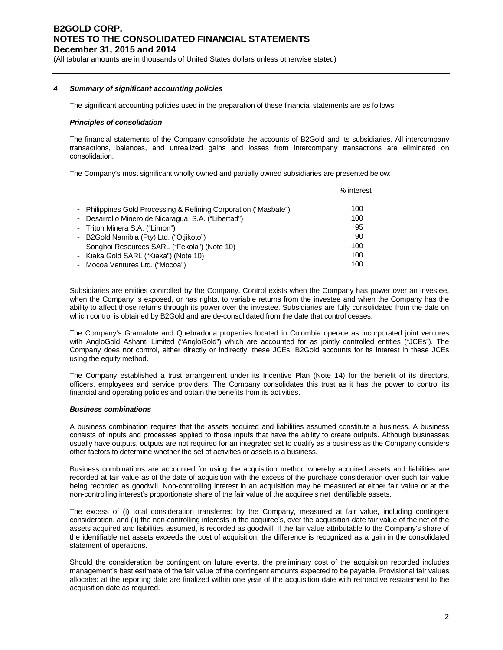(All tabular amounts are in thousands of United States dollars unless otherwise stated)

### *4 Summary of significant accounting policies*

The significant accounting policies used in the preparation of these financial statements are as follows:

### *Principles of consolidation*

The financial statements of the Company consolidate the accounts of B2Gold and its subsidiaries. All intercompany transactions, balances, and unrealized gains and losses from intercompany transactions are eliminated on consolidation.

The Company's most significant wholly owned and partially owned subsidiaries are presented below:

|                                                                  | % interest |
|------------------------------------------------------------------|------------|
| - Philippines Gold Processing & Refining Corporation ("Masbate") | 100        |
| - Desarrollo Minero de Nicaragua, S.A. ("Libertad")              | 100        |
| - Triton Minera S.A. ("Limon")                                   | 95         |
| - B2Gold Namibia (Pty) Ltd. ("Otiikoto")                         | 90         |
| - Songhoi Resources SARL ("Fekola") (Note 10)                    | 100        |
| - Kiaka Gold SARL ("Kiaka") (Note 10)                            | 100        |
| - Mocoa Ventures Ltd. ("Mocoa")                                  | 100        |

Subsidiaries are entities controlled by the Company. Control exists when the Company has power over an investee, when the Company is exposed, or has rights, to variable returns from the investee and when the Company has the ability to affect those returns through its power over the investee. Subsidiaries are fully consolidated from the date on which control is obtained by B2Gold and are de-consolidated from the date that control ceases.

The Company's Gramalote and Quebradona properties located in Colombia operate as incorporated joint ventures with AngloGold Ashanti Limited ("AngloGold") which are accounted for as jointly controlled entities ("JCEs"). The Company does not control, either directly or indirectly, these JCEs. B2Gold accounts for its interest in these JCEs using the equity method.

The Company established a trust arrangement under its Incentive Plan (Note 14) for the benefit of its directors, officers, employees and service providers. The Company consolidates this trust as it has the power to control its financial and operating policies and obtain the benefits from its activities.

### *Business combinations*

A business combination requires that the assets acquired and liabilities assumed constitute a business. A business consists of inputs and processes applied to those inputs that have the ability to create outputs. Although businesses usually have outputs, outputs are not required for an integrated set to qualify as a business as the Company considers other factors to determine whether the set of activities or assets is a business.

Business combinations are accounted for using the acquisition method whereby acquired assets and liabilities are recorded at fair value as of the date of acquisition with the excess of the purchase consideration over such fair value being recorded as goodwill. Non-controlling interest in an acquisition may be measured at either fair value or at the non-controlling interest's proportionate share of the fair value of the acquiree's net identifiable assets.

The excess of (i) total consideration transferred by the Company, measured at fair value, including contingent consideration, and (ii) the non-controlling interests in the acquiree's, over the acquisition-date fair value of the net of the assets acquired and liabilities assumed, is recorded as goodwill. If the fair value attributable to the Company's share of the identifiable net assets exceeds the cost of acquisition, the difference is recognized as a gain in the consolidated statement of operations.

Should the consideration be contingent on future events, the preliminary cost of the acquisition recorded includes management's best estimate of the fair value of the contingent amounts expected to be payable. Provisional fair values allocated at the reporting date are finalized within one year of the acquisition date with retroactive restatement to the acquisition date as required.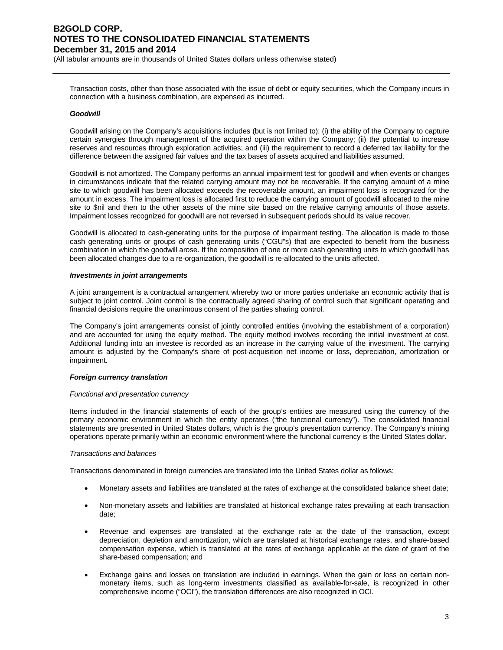(All tabular amounts are in thousands of United States dollars unless otherwise stated)

Transaction costs, other than those associated with the issue of debt or equity securities, which the Company incurs in connection with a business combination, are expensed as incurred.

### *Goodwill*

Goodwill arising on the Company's acquisitions includes (but is not limited to): (i) the ability of the Company to capture certain synergies through management of the acquired operation within the Company; (ii) the potential to increase reserves and resources through exploration activities; and (iii) the requirement to record a deferred tax liability for the difference between the assigned fair values and the tax bases of assets acquired and liabilities assumed.

Goodwill is not amortized. The Company performs an annual impairment test for goodwill and when events or changes in circumstances indicate that the related carrying amount may not be recoverable. If the carrying amount of a mine site to which goodwill has been allocated exceeds the recoverable amount, an impairment loss is recognized for the amount in excess. The impairment loss is allocated first to reduce the carrying amount of goodwill allocated to the mine site to \$nil and then to the other assets of the mine site based on the relative carrying amounts of those assets. Impairment losses recognized for goodwill are not reversed in subsequent periods should its value recover.

Goodwill is allocated to cash-generating units for the purpose of impairment testing. The allocation is made to those cash generating units or groups of cash generating units ("CGU"s) that are expected to benefit from the business combination in which the goodwill arose. If the composition of one or more cash generating units to which goodwill has been allocated changes due to a re-organization, the goodwill is re-allocated to the units affected.

### *Investments in joint arrangements*

A joint arrangement is a contractual arrangement whereby two or more parties undertake an economic activity that is subject to joint control. Joint control is the contractually agreed sharing of control such that significant operating and financial decisions require the unanimous consent of the parties sharing control.

The Company's joint arrangements consist of jointly controlled entities (involving the establishment of a corporation) and are accounted for using the equity method. The equity method involves recording the initial investment at cost. Additional funding into an investee is recorded as an increase in the carrying value of the investment. The carrying amount is adjusted by the Company's share of post-acquisition net income or loss, depreciation, amortization or impairment.

### *Foreign currency translation*

### *Functional and presentation currency*

Items included in the financial statements of each of the group's entities are measured using the currency of the primary economic environment in which the entity operates ("the functional currency"). The consolidated financial statements are presented in United States dollars, which is the group's presentation currency. The Company's mining operations operate primarily within an economic environment where the functional currency is the United States dollar.

### *Transactions and balances*

Transactions denominated in foreign currencies are translated into the United States dollar as follows:

- Monetary assets and liabilities are translated at the rates of exchange at the consolidated balance sheet date;
- Non-monetary assets and liabilities are translated at historical exchange rates prevailing at each transaction date;
- Revenue and expenses are translated at the exchange rate at the date of the transaction, except depreciation, depletion and amortization, which are translated at historical exchange rates, and share-based compensation expense, which is translated at the rates of exchange applicable at the date of grant of the share-based compensation; and
- Exchange gains and losses on translation are included in earnings. When the gain or loss on certain nonmonetary items, such as long-term investments classified as available-for-sale, is recognized in other comprehensive income ("OCI"), the translation differences are also recognized in OCI.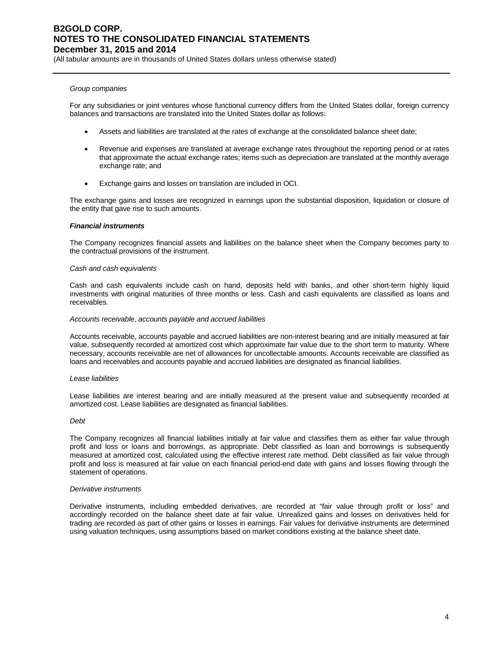(All tabular amounts are in thousands of United States dollars unless otherwise stated)

### *Group companies*

For any subsidiaries or joint ventures whose functional currency differs from the United States dollar, foreign currency balances and transactions are translated into the United States dollar as follows:

- Assets and liabilities are translated at the rates of exchange at the consolidated balance sheet date;
- Revenue and expenses are translated at average exchange rates throughout the reporting period or at rates that approximate the actual exchange rates; items such as depreciation are translated at the monthly average exchange rate; and
- Exchange gains and losses on translation are included in OCI.

The exchange gains and losses are recognized in earnings upon the substantial disposition, liquidation or closure of the entity that gave rise to such amounts.

### *Financial instruments*

The Company recognizes financial assets and liabilities on the balance sheet when the Company becomes party to the contractual provisions of the instrument.

#### *Cash and cash equivalents*

Cash and cash equivalents include cash on hand, deposits held with banks, and other short-term highly liquid investments with original maturities of three months or less. Cash and cash equivalents are classified as loans and receivables.

#### *Accounts receivable, accounts payable and accrued liabilities*

Accounts receivable, accounts payable and accrued liabilities are non-interest bearing and are initially measured at fair value, subsequently recorded at amortized cost which approximate fair value due to the short term to maturity. Where necessary, accounts receivable are net of allowances for uncollectable amounts. Accounts receivable are classified as loans and receivables and accounts payable and accrued liabilities are designated as financial liabilities.

### *Lease liabilities*

Lease liabilities are interest bearing and are initially measured at the present value and subsequently recorded at amortized cost. Lease liabilities are designated as financial liabilities.

### *Debt*

The Company recognizes all financial liabilities initially at fair value and classifies them as either fair value through profit and loss or loans and borrowings, as appropriate. Debt classified as loan and borrowings is subsequently measured at amortized cost, calculated using the effective interest rate method. Debt classified as fair value through profit and loss is measured at fair value on each financial period-end date with gains and losses flowing through the statement of operations.

### *Derivative instruments*

Derivative instruments, including embedded derivatives, are recorded at "fair value through profit or loss" and accordingly recorded on the balance sheet date at fair value. Unrealized gains and losses on derivatives held for trading are recorded as part of other gains or losses in earnings. Fair values for derivative instruments are determined using valuation techniques, using assumptions based on market conditions existing at the balance sheet date.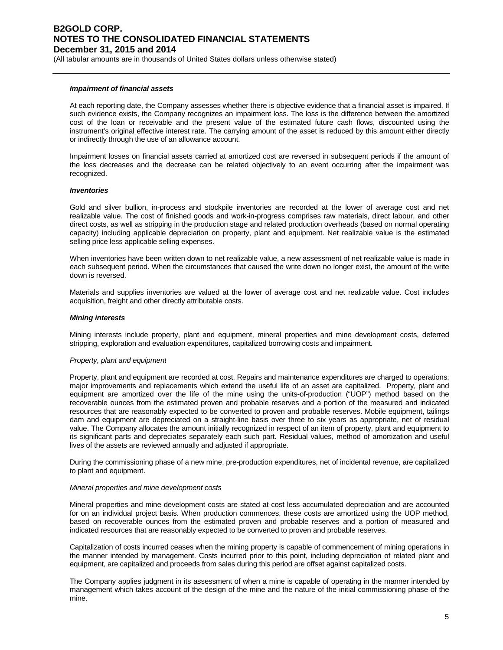(All tabular amounts are in thousands of United States dollars unless otherwise stated)

#### *Impairment of financial assets*

At each reporting date, the Company assesses whether there is objective evidence that a financial asset is impaired. If such evidence exists, the Company recognizes an impairment loss. The loss is the difference between the amortized cost of the loan or receivable and the present value of the estimated future cash flows, discounted using the instrument's original effective interest rate. The carrying amount of the asset is reduced by this amount either directly or indirectly through the use of an allowance account.

Impairment losses on financial assets carried at amortized cost are reversed in subsequent periods if the amount of the loss decreases and the decrease can be related objectively to an event occurring after the impairment was recognized.

#### *Inventories*

Gold and silver bullion, in-process and stockpile inventories are recorded at the lower of average cost and net realizable value. The cost of finished goods and work-in-progress comprises raw materials, direct labour, and other direct costs, as well as stripping in the production stage and related production overheads (based on normal operating capacity) including applicable depreciation on property, plant and equipment. Net realizable value is the estimated selling price less applicable selling expenses.

When inventories have been written down to net realizable value, a new assessment of net realizable value is made in each subsequent period. When the circumstances that caused the write down no longer exist, the amount of the write down is reversed.

Materials and supplies inventories are valued at the lower of average cost and net realizable value. Cost includes acquisition, freight and other directly attributable costs.

#### *Mining interests*

Mining interests include property, plant and equipment, mineral properties and mine development costs, deferred stripping, exploration and evaluation expenditures, capitalized borrowing costs and impairment.

#### *Property, plant and equipment*

Property, plant and equipment are recorded at cost. Repairs and maintenance expenditures are charged to operations; major improvements and replacements which extend the useful life of an asset are capitalized. Property, plant and equipment are amortized over the life of the mine using the units-of-production ("UOP") method based on the recoverable ounces from the estimated proven and probable reserves and a portion of the measured and indicated resources that are reasonably expected to be converted to proven and probable reserves. Mobile equipment, tailings dam and equipment are depreciated on a straight-line basis over three to six years as appropriate, net of residual value. The Company allocates the amount initially recognized in respect of an item of property, plant and equipment to its significant parts and depreciates separately each such part. Residual values, method of amortization and useful lives of the assets are reviewed annually and adjusted if appropriate.

During the commissioning phase of a new mine, pre-production expenditures, net of incidental revenue, are capitalized to plant and equipment.

#### *Mineral properties and mine development costs*

Mineral properties and mine development costs are stated at cost less accumulated depreciation and are accounted for on an individual project basis. When production commences, these costs are amortized using the UOP method, based on recoverable ounces from the estimated proven and probable reserves and a portion of measured and indicated resources that are reasonably expected to be converted to proven and probable reserves.

Capitalization of costs incurred ceases when the mining property is capable of commencement of mining operations in the manner intended by management. Costs incurred prior to this point, including depreciation of related plant and equipment, are capitalized and proceeds from sales during this period are offset against capitalized costs.

The Company applies judgment in its assessment of when a mine is capable of operating in the manner intended by management which takes account of the design of the mine and the nature of the initial commissioning phase of the mine.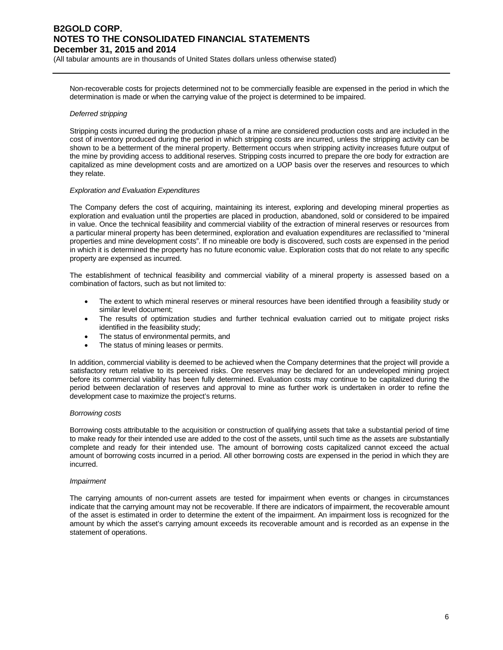(All tabular amounts are in thousands of United States dollars unless otherwise stated)

Non-recoverable costs for projects determined not to be commercially feasible are expensed in the period in which the determination is made or when the carrying value of the project is determined to be impaired.

### *Deferred stripping*

Stripping costs incurred during the production phase of a mine are considered production costs and are included in the cost of inventory produced during the period in which stripping costs are incurred, unless the stripping activity can be shown to be a betterment of the mineral property. Betterment occurs when stripping activity increases future output of the mine by providing access to additional reserves. Stripping costs incurred to prepare the ore body for extraction are capitalized as mine development costs and are amortized on a UOP basis over the reserves and resources to which they relate.

### *Exploration and Evaluation Expenditures*

The Company defers the cost of acquiring, maintaining its interest, exploring and developing mineral properties as exploration and evaluation until the properties are placed in production, abandoned, sold or considered to be impaired in value. Once the technical feasibility and commercial viability of the extraction of mineral reserves or resources from a particular mineral property has been determined, exploration and evaluation expenditures are reclassified to "mineral properties and mine development costs". If no mineable ore body is discovered, such costs are expensed in the period in which it is determined the property has no future economic value. Exploration costs that do not relate to any specific property are expensed as incurred.

The establishment of technical feasibility and commercial viability of a mineral property is assessed based on a combination of factors, such as but not limited to:

- The extent to which mineral reserves or mineral resources have been identified through a feasibility study or similar level document;
- The results of optimization studies and further technical evaluation carried out to mitigate project risks identified in the feasibility study;
- The status of environmental permits, and
- The status of mining leases or permits.

In addition, commercial viability is deemed to be achieved when the Company determines that the project will provide a satisfactory return relative to its perceived risks. Ore reserves may be declared for an undeveloped mining project before its commercial viability has been fully determined. Evaluation costs may continue to be capitalized during the period between declaration of reserves and approval to mine as further work is undertaken in order to refine the development case to maximize the project's returns.

### *Borrowing costs*

Borrowing costs attributable to the acquisition or construction of qualifying assets that take a substantial period of time to make ready for their intended use are added to the cost of the assets, until such time as the assets are substantially complete and ready for their intended use. The amount of borrowing costs capitalized cannot exceed the actual amount of borrowing costs incurred in a period. All other borrowing costs are expensed in the period in which they are incurred.

### *Impairment*

The carrying amounts of non-current assets are tested for impairment when events or changes in circumstances indicate that the carrying amount may not be recoverable. If there are indicators of impairment, the recoverable amount of the asset is estimated in order to determine the extent of the impairment. An impairment loss is recognized for the amount by which the asset's carrying amount exceeds its recoverable amount and is recorded as an expense in the statement of operations.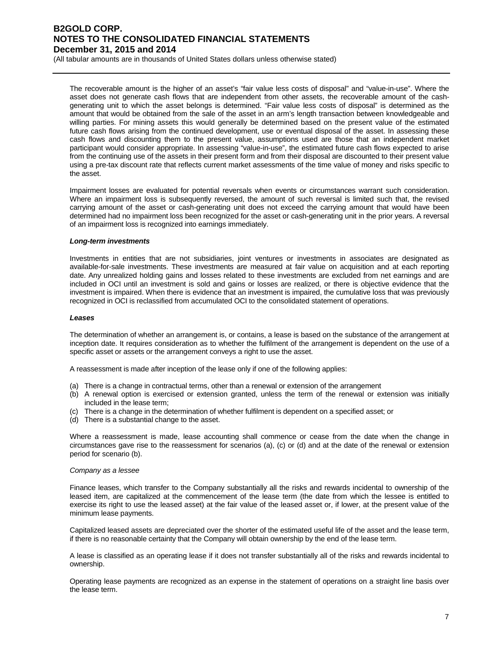(All tabular amounts are in thousands of United States dollars unless otherwise stated)

The recoverable amount is the higher of an asset's "fair value less costs of disposal" and "value-in-use". Where the asset does not generate cash flows that are independent from other assets, the recoverable amount of the cashgenerating unit to which the asset belongs is determined. "Fair value less costs of disposal" is determined as the amount that would be obtained from the sale of the asset in an arm's length transaction between knowledgeable and willing parties. For mining assets this would generally be determined based on the present value of the estimated future cash flows arising from the continued development, use or eventual disposal of the asset. In assessing these cash flows and discounting them to the present value, assumptions used are those that an independent market participant would consider appropriate. In assessing "value-in-use", the estimated future cash flows expected to arise from the continuing use of the assets in their present form and from their disposal are discounted to their present value using a pre-tax discount rate that reflects current market assessments of the time value of money and risks specific to the asset.

Impairment losses are evaluated for potential reversals when events or circumstances warrant such consideration. Where an impairment loss is subsequently reversed, the amount of such reversal is limited such that, the revised carrying amount of the asset or cash-generating unit does not exceed the carrying amount that would have been determined had no impairment loss been recognized for the asset or cash-generating unit in the prior years. A reversal of an impairment loss is recognized into earnings immediately.

### *Long-term investments*

Investments in entities that are not subsidiaries, joint ventures or investments in associates are designated as available-for-sale investments. These investments are measured at fair value on acquisition and at each reporting date. Any unrealized holding gains and losses related to these investments are excluded from net earnings and are included in OCI until an investment is sold and gains or losses are realized, or there is objective evidence that the investment is impaired. When there is evidence that an investment is impaired, the cumulative loss that was previously recognized in OCI is reclassified from accumulated OCI to the consolidated statement of operations.

#### *Leases*

The determination of whether an arrangement is, or contains, a lease is based on the substance of the arrangement at inception date. It requires consideration as to whether the fulfilment of the arrangement is dependent on the use of a specific asset or assets or the arrangement conveys a right to use the asset.

A reassessment is made after inception of the lease only if one of the following applies:

- (a) There is a change in contractual terms, other than a renewal or extension of the arrangement
- (b) A renewal option is exercised or extension granted, unless the term of the renewal or extension was initially included in the lease term;
- (c) There is a change in the determination of whether fulfilment is dependent on a specified asset; or
- (d) There is a substantial change to the asset.

Where a reassessment is made, lease accounting shall commence or cease from the date when the change in circumstances gave rise to the reassessment for scenarios (a), (c) or (d) and at the date of the renewal or extension period for scenario (b).

#### *Company as a lessee*

Finance leases, which transfer to the Company substantially all the risks and rewards incidental to ownership of the leased item, are capitalized at the commencement of the lease term (the date from which the lessee is entitled to exercise its right to use the leased asset) at the fair value of the leased asset or, if lower, at the present value of the minimum lease payments.

Capitalized leased assets are depreciated over the shorter of the estimated useful life of the asset and the lease term, if there is no reasonable certainty that the Company will obtain ownership by the end of the lease term.

A lease is classified as an operating lease if it does not transfer substantially all of the risks and rewards incidental to ownership.

Operating lease payments are recognized as an expense in the statement of operations on a straight line basis over the lease term.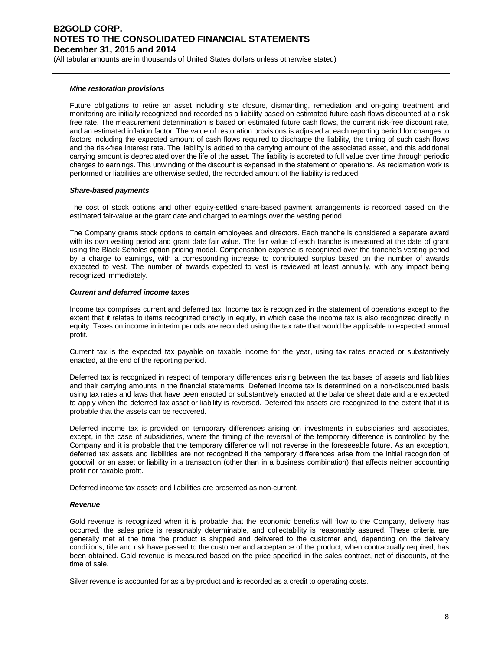(All tabular amounts are in thousands of United States dollars unless otherwise stated)

#### *Mine restoration provisions*

Future obligations to retire an asset including site closure, dismantling, remediation and on-going treatment and monitoring are initially recognized and recorded as a liability based on estimated future cash flows discounted at a risk free rate. The measurement determination is based on estimated future cash flows, the current risk-free discount rate, and an estimated inflation factor. The value of restoration provisions is adjusted at each reporting period for changes to factors including the expected amount of cash flows required to discharge the liability, the timing of such cash flows and the risk-free interest rate. The liability is added to the carrying amount of the associated asset, and this additional carrying amount is depreciated over the life of the asset. The liability is accreted to full value over time through periodic charges to earnings. This unwinding of the discount is expensed in the statement of operations. As reclamation work is performed or liabilities are otherwise settled, the recorded amount of the liability is reduced.

#### *Share-based payments*

The cost of stock options and other equity-settled share-based payment arrangements is recorded based on the estimated fair-value at the grant date and charged to earnings over the vesting period.

The Company grants stock options to certain employees and directors. Each tranche is considered a separate award with its own vesting period and grant date fair value. The fair value of each tranche is measured at the date of grant using the Black-Scholes option pricing model. Compensation expense is recognized over the tranche's vesting period by a charge to earnings, with a corresponding increase to contributed surplus based on the number of awards expected to vest. The number of awards expected to vest is reviewed at least annually, with any impact being recognized immediately.

### *Current and deferred income taxes*

Income tax comprises current and deferred tax. Income tax is recognized in the statement of operations except to the extent that it relates to items recognized directly in equity, in which case the income tax is also recognized directly in equity. Taxes on income in interim periods are recorded using the tax rate that would be applicable to expected annual profit.

Current tax is the expected tax payable on taxable income for the year, using tax rates enacted or substantively enacted, at the end of the reporting period.

Deferred tax is recognized in respect of temporary differences arising between the tax bases of assets and liabilities and their carrying amounts in the financial statements. Deferred income tax is determined on a non-discounted basis using tax rates and laws that have been enacted or substantively enacted at the balance sheet date and are expected to apply when the deferred tax asset or liability is reversed. Deferred tax assets are recognized to the extent that it is probable that the assets can be recovered.

Deferred income tax is provided on temporary differences arising on investments in subsidiaries and associates, except, in the case of subsidiaries, where the timing of the reversal of the temporary difference is controlled by the Company and it is probable that the temporary difference will not reverse in the foreseeable future. As an exception, deferred tax assets and liabilities are not recognized if the temporary differences arise from the initial recognition of goodwill or an asset or liability in a transaction (other than in a business combination) that affects neither accounting profit nor taxable profit.

Deferred income tax assets and liabilities are presented as non-current.

#### *Revenue*

Gold revenue is recognized when it is probable that the economic benefits will flow to the Company, delivery has occurred, the sales price is reasonably determinable, and collectability is reasonably assured. These criteria are generally met at the time the product is shipped and delivered to the customer and, depending on the delivery conditions, title and risk have passed to the customer and acceptance of the product, when contractually required, has been obtained. Gold revenue is measured based on the price specified in the sales contract, net of discounts, at the time of sale.

Silver revenue is accounted for as a by-product and is recorded as a credit to operating costs.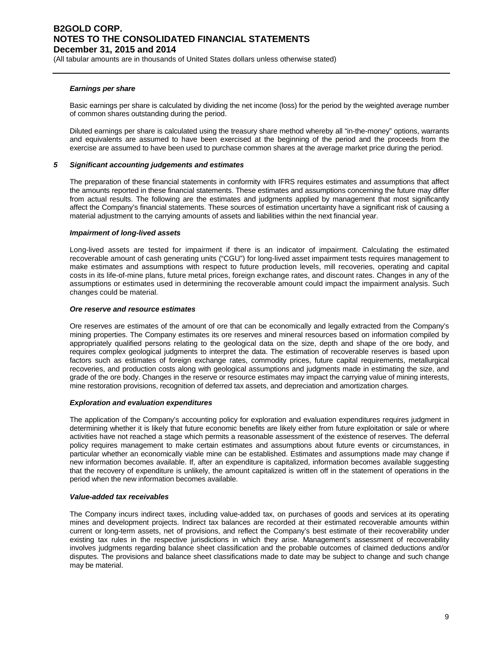(All tabular amounts are in thousands of United States dollars unless otherwise stated)

### *Earnings per share*

Basic earnings per share is calculated by dividing the net income (loss) for the period by the weighted average number of common shares outstanding during the period.

Diluted earnings per share is calculated using the treasury share method whereby all "in-the-money" options, warrants and equivalents are assumed to have been exercised at the beginning of the period and the proceeds from the exercise are assumed to have been used to purchase common shares at the average market price during the period.

### *5 Significant accounting judgements and estimates*

The preparation of these financial statements in conformity with IFRS requires estimates and assumptions that affect the amounts reported in these financial statements. These estimates and assumptions concerning the future may differ from actual results. The following are the estimates and judgments applied by management that most significantly affect the Company's financial statements. These sources of estimation uncertainty have a significant risk of causing a material adjustment to the carrying amounts of assets and liabilities within the next financial year.

### *Impairment of long-lived assets*

Long-lived assets are tested for impairment if there is an indicator of impairment. Calculating the estimated recoverable amount of cash generating units ("CGU") for long-lived asset impairment tests requires management to make estimates and assumptions with respect to future production levels, mill recoveries, operating and capital costs in its life-of-mine plans, future metal prices, foreign exchange rates, and discount rates. Changes in any of the assumptions or estimates used in determining the recoverable amount could impact the impairment analysis. Such changes could be material.

### *Ore reserve and resource estimates*

Ore reserves are estimates of the amount of ore that can be economically and legally extracted from the Company's mining properties. The Company estimates its ore reserves and mineral resources based on information compiled by appropriately qualified persons relating to the geological data on the size, depth and shape of the ore body, and requires complex geological judgments to interpret the data. The estimation of recoverable reserves is based upon factors such as estimates of foreign exchange rates, commodity prices, future capital requirements, metallurgical recoveries, and production costs along with geological assumptions and judgments made in estimating the size, and grade of the ore body. Changes in the reserve or resource estimates may impact the carrying value of mining interests, mine restoration provisions, recognition of deferred tax assets, and depreciation and amortization charges.

### *Exploration and evaluation expenditures*

The application of the Company's accounting policy for exploration and evaluation expenditures requires judgment in determining whether it is likely that future economic benefits are likely either from future exploitation or sale or where activities have not reached a stage which permits a reasonable assessment of the existence of reserves. The deferral policy requires management to make certain estimates and assumptions about future events or circumstances, in particular whether an economically viable mine can be established. Estimates and assumptions made may change if new information becomes available. If, after an expenditure is capitalized, information becomes available suggesting that the recovery of expenditure is unlikely, the amount capitalized is written off in the statement of operations in the period when the new information becomes available.

### *Value-added tax receivables*

The Company incurs indirect taxes, including value-added tax, on purchases of goods and services at its operating mines and development projects. Indirect tax balances are recorded at their estimated recoverable amounts within current or long-term assets, net of provisions, and reflect the Company's best estimate of their recoverability under existing tax rules in the respective jurisdictions in which they arise. Management's assessment of recoverability involves judgments regarding balance sheet classification and the probable outcomes of claimed deductions and/or disputes. The provisions and balance sheet classifications made to date may be subject to change and such change may be material.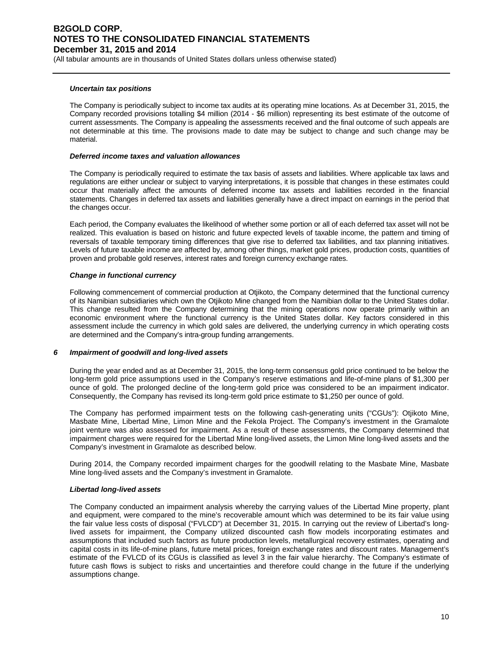(All tabular amounts are in thousands of United States dollars unless otherwise stated)

### *Uncertain tax positions*

The Company is periodically subject to income tax audits at its operating mine locations. As at December 31, 2015, the Company recorded provisions totalling \$4 million (2014 - \$6 million) representing its best estimate of the outcome of current assessments. The Company is appealing the assessments received and the final outcome of such appeals are not determinable at this time. The provisions made to date may be subject to change and such change may be material.

### *Deferred income taxes and valuation allowances*

The Company is periodically required to estimate the tax basis of assets and liabilities. Where applicable tax laws and regulations are either unclear or subject to varying interpretations, it is possible that changes in these estimates could occur that materially affect the amounts of deferred income tax assets and liabilities recorded in the financial statements. Changes in deferred tax assets and liabilities generally have a direct impact on earnings in the period that the changes occur.

Each period, the Company evaluates the likelihood of whether some portion or all of each deferred tax asset will not be realized. This evaluation is based on historic and future expected levels of taxable income, the pattern and timing of reversals of taxable temporary timing differences that give rise to deferred tax liabilities, and tax planning initiatives. Levels of future taxable income are affected by, among other things, market gold prices, production costs, quantities of proven and probable gold reserves, interest rates and foreign currency exchange rates.

### *Change in functional currency*

Following commencement of commercial production at Otjikoto, the Company determined that the functional currency of its Namibian subsidiaries which own the Otjikoto Mine changed from the Namibian dollar to the United States dollar. This change resulted from the Company determining that the mining operations now operate primarily within an economic environment where the functional currency is the United States dollar. Key factors considered in this assessment include the currency in which gold sales are delivered, the underlying currency in which operating costs are determined and the Company's intra-group funding arrangements.

### *6 Impairment of goodwill and long-lived assets*

During the year ended and as at December 31, 2015, the long-term consensus gold price continued to be below the long-term gold price assumptions used in the Company's reserve estimations and life-of-mine plans of \$1,300 per ounce of gold. The prolonged decline of the long-term gold price was considered to be an impairment indicator. Consequently, the Company has revised its long-term gold price estimate to \$1,250 per ounce of gold.

The Company has performed impairment tests on the following cash-generating units ("CGUs"): Otjikoto Mine, Masbate Mine, Libertad Mine, Limon Mine and the Fekola Project. The Company's investment in the Gramalote joint venture was also assessed for impairment. As a result of these assessments, the Company determined that impairment charges were required for the Libertad Mine long-lived assets, the Limon Mine long-lived assets and the Company's investment in Gramalote as described below.

During 2014, the Company recorded impairment charges for the goodwill relating to the Masbate Mine, Masbate Mine long-lived assets and the Company's investment in Gramalote.

### *Libertad long-lived assets*

The Company conducted an impairment analysis whereby the carrying values of the Libertad Mine property, plant and equipment, were compared to the mine's recoverable amount which was determined to be its fair value using the fair value less costs of disposal ("FVLCD") at December 31, 2015. In carrying out the review of Libertad's longlived assets for impairment, the Company utilized discounted cash flow models incorporating estimates and assumptions that included such factors as future production levels, metallurgical recovery estimates, operating and capital costs in its life-of-mine plans, future metal prices, foreign exchange rates and discount rates. Management's estimate of the FVLCD of its CGUs is classified as level 3 in the fair value hierarchy. The Company's estimate of future cash flows is subject to risks and uncertainties and therefore could change in the future if the underlying assumptions change.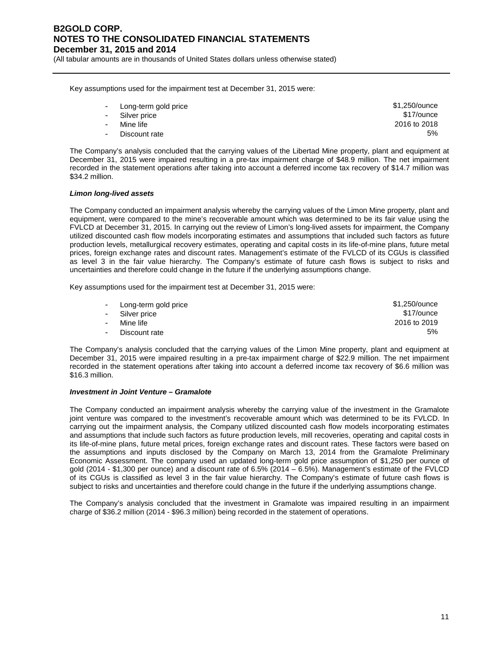(All tabular amounts are in thousands of United States dollars unless otherwise stated)

Key assumptions used for the impairment test at December 31, 2015 were:

|                  | - Long-term gold price | \$1,250/ounce |
|------------------|------------------------|---------------|
|                  | - Silver price         | \$17/ounce    |
| $\sim$ 100 $\mu$ | Mine life              | 2016 to 2018  |
|                  | - Discount rate        | 5%            |

The Company's analysis concluded that the carrying values of the Libertad Mine property, plant and equipment at December 31, 2015 were impaired resulting in a pre-tax impairment charge of \$48.9 million. The net impairment recorded in the statement operations after taking into account a deferred income tax recovery of \$14.7 million was \$34.2 million.

### *Limon long-lived assets*

The Company conducted an impairment analysis whereby the carrying values of the Limon Mine property, plant and equipment, were compared to the mine's recoverable amount which was determined to be its fair value using the FVLCD at December 31, 2015. In carrying out the review of Limon's long-lived assets for impairment, the Company utilized discounted cash flow models incorporating estimates and assumptions that included such factors as future production levels, metallurgical recovery estimates, operating and capital costs in its life-of-mine plans, future metal prices, foreign exchange rates and discount rates. Management's estimate of the FVLCD of its CGUs is classified as level 3 in the fair value hierarchy. The Company's estimate of future cash flows is subject to risks and uncertainties and therefore could change in the future if the underlying assumptions change.

Key assumptions used for the impairment test at December 31, 2015 were:

|                          | - Long-term gold price | \$1,250/ounce |
|--------------------------|------------------------|---------------|
| $\overline{\phantom{0}}$ | Silver price           | \$17/ounce    |
|                          | Mine life              | 2016 to 2019  |
| . .                      | Discount rate          | 5%            |

The Company's analysis concluded that the carrying values of the Limon Mine property, plant and equipment at December 31, 2015 were impaired resulting in a pre-tax impairment charge of \$22.9 million. The net impairment recorded in the statement operations after taking into account a deferred income tax recovery of \$6.6 million was \$16.3 million.

### *Investment in Joint Venture – Gramalote*

The Company conducted an impairment analysis whereby the carrying value of the investment in the Gramalote joint venture was compared to the investment's recoverable amount which was determined to be its FVLCD. In carrying out the impairment analysis, the Company utilized discounted cash flow models incorporating estimates and assumptions that include such factors as future production levels, mill recoveries, operating and capital costs in its life-of-mine plans, future metal prices, foreign exchange rates and discount rates. These factors were based on the assumptions and inputs disclosed by the Company on March 13, 2014 from the Gramalote Preliminary Economic Assessment. The company used an updated long-term gold price assumption of \$1,250 per ounce of gold (2014 - \$1,300 per ounce) and a discount rate of 6.5% (2014 – 6.5%). Management's estimate of the FVLCD of its CGUs is classified as level 3 in the fair value hierarchy. The Company's estimate of future cash flows is subject to risks and uncertainties and therefore could change in the future if the underlying assumptions change.

The Company's analysis concluded that the investment in Gramalote was impaired resulting in an impairment charge of \$36.2 million (2014 - \$96.3 million) being recorded in the statement of operations.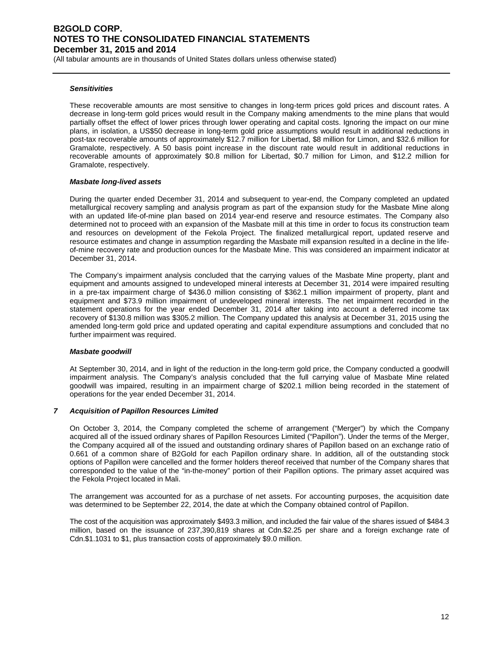(All tabular amounts are in thousands of United States dollars unless otherwise stated)

### *Sensitivities*

These recoverable amounts are most sensitive to changes in long-term prices gold prices and discount rates. A decrease in long-term gold prices would result in the Company making amendments to the mine plans that would partially offset the effect of lower prices through lower operating and capital costs. Ignoring the impact on our mine plans, in isolation, a US\$50 decrease in long-term gold price assumptions would result in additional reductions in post-tax recoverable amounts of approximately \$12.7 million for Libertad, \$8 million for Limon, and \$32.6 million for Gramalote, respectively. A 50 basis point increase in the discount rate would result in additional reductions in recoverable amounts of approximately \$0.8 million for Libertad, \$0.7 million for Limon, and \$12.2 million for Gramalote, respectively.

#### *Masbate long-lived assets*

During the quarter ended December 31, 2014 and subsequent to year-end, the Company completed an updated metallurgical recovery sampling and analysis program as part of the expansion study for the Masbate Mine along with an updated life-of-mine plan based on 2014 year-end reserve and resource estimates. The Company also determined not to proceed with an expansion of the Masbate mill at this time in order to focus its construction team and resources on development of the Fekola Project. The finalized metallurgical report, updated reserve and resource estimates and change in assumption regarding the Masbate mill expansion resulted in a decline in the lifeof-mine recovery rate and production ounces for the Masbate Mine. This was considered an impairment indicator at December 31, 2014.

The Company's impairment analysis concluded that the carrying values of the Masbate Mine property, plant and equipment and amounts assigned to undeveloped mineral interests at December 31, 2014 were impaired resulting in a pre-tax impairment charge of \$436.0 million consisting of \$362.1 million impairment of property, plant and equipment and \$73.9 million impairment of undeveloped mineral interests. The net impairment recorded in the statement operations for the year ended December 31, 2014 after taking into account a deferred income tax recovery of \$130.8 million was \$305.2 million. The Company updated this analysis at December 31, 2015 using the amended long-term gold price and updated operating and capital expenditure assumptions and concluded that no further impairment was required.

#### *Masbate goodwill*

At September 30, 2014, and in light of the reduction in the long-term gold price, the Company conducted a goodwill impairment analysis. The Company's analysis concluded that the full carrying value of Masbate Mine related goodwill was impaired, resulting in an impairment charge of \$202.1 million being recorded in the statement of operations for the year ended December 31, 2014.

### *7 Acquisition of Papillon Resources Limited*

On October 3, 2014, the Company completed the scheme of arrangement ("Merger") by which the Company acquired all of the issued ordinary shares of Papillon Resources Limited ("Papillon"). Under the terms of the Merger, the Company acquired all of the issued and outstanding ordinary shares of Papillon based on an exchange ratio of 0.661 of a common share of B2Gold for each Papillon ordinary share. In addition, all of the outstanding stock options of Papillon were cancelled and the former holders thereof received that number of the Company shares that corresponded to the value of the "in-the-money" portion of their Papillon options. The primary asset acquired was the Fekola Project located in Mali.

The arrangement was accounted for as a purchase of net assets. For accounting purposes, the acquisition date was determined to be September 22, 2014, the date at which the Company obtained control of Papillon.

The cost of the acquisition was approximately \$493.3 million, and included the fair value of the shares issued of \$484.3 million, based on the issuance of 237,390,819 shares at Cdn.\$2.25 per share and a foreign exchange rate of Cdn.\$1.1031 to \$1, plus transaction costs of approximately \$9.0 million.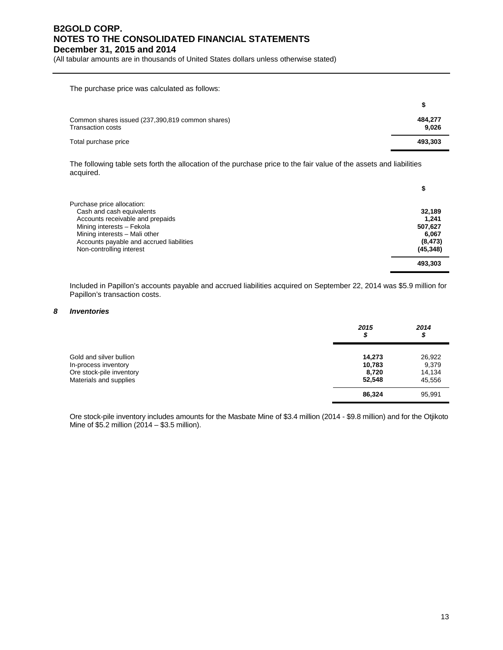(All tabular amounts are in thousands of United States dollars unless otherwise stated)

| The purchase price was calculated as follows:                                                                                    |                  |
|----------------------------------------------------------------------------------------------------------------------------------|------------------|
|                                                                                                                                  | \$               |
| Common shares issued (237,390,819 common shares)<br>Transaction costs                                                            | 484,277<br>9,026 |
| Total purchase price                                                                                                             | 493,303          |
| The following table sets forth the allocation of the purchase price to the fair value of the assets and liabilities<br>acquired. |                  |
|                                                                                                                                  |                  |

| Purchase price allocation:               |           |
|------------------------------------------|-----------|
| Cash and cash equivalents                | 32,189    |
| Accounts receivable and prepaids         | 1.241     |
| Mining interests - Fekola                | 507.627   |
| Mining interests - Mali other            | 6.067     |
| Accounts payable and accrued liabilities | (8, 473)  |
| Non-controlling interest                 | (45, 348) |
|                                          | 493.303   |
|                                          |           |

Included in Papillon's accounts payable and accrued liabilities acquired on September 22, 2014 was \$5.9 million for Papillon's transaction costs.

### *8 Inventories*

|                                                  | 2015<br>\$      | 2014<br>\$      |
|--------------------------------------------------|-----------------|-----------------|
| Gold and silver bullion                          | 14,273          | 26,922          |
| In-process inventory<br>Ore stock-pile inventory | 10,783<br>8,720 | 9,379<br>14,134 |
| Materials and supplies                           | 52,548          | 45,556          |
|                                                  | 86,324          | 95,991          |

Ore stock-pile inventory includes amounts for the Masbate Mine of \$3.4 million (2014 - \$9.8 million) and for the Otjikoto Mine of \$5.2 million (2014 – \$3.5 million).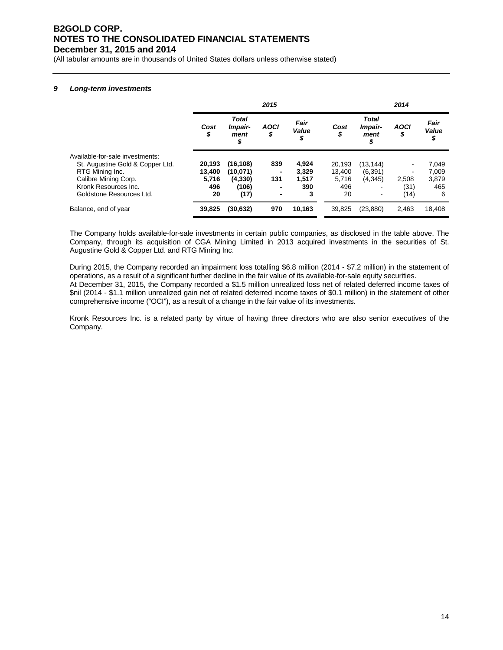(All tabular amounts are in thousands of United States dollars unless otherwise stated)

### *9 Long-term investments*

|                                  | 2015       |                                       |                          |                     | 2014       |                                       |                          |                     |
|----------------------------------|------------|---------------------------------------|--------------------------|---------------------|------------|---------------------------------------|--------------------------|---------------------|
|                                  | Cost<br>\$ | <b>Total</b><br>Impair-<br>ment<br>\$ | <b>AOCI</b><br>\$        | Fair<br>Value<br>\$ | Cost<br>\$ | <b>Total</b><br>Impair-<br>ment<br>\$ | <b>AOCI</b><br>\$        | Fair<br>Value<br>\$ |
| Available-for-sale investments:  |            |                                       |                          |                     |            |                                       |                          |                     |
| St. Augustine Gold & Copper Ltd. | 20.193     | (16,108)                              | 839                      | 4,924               | 20,193     | (13, 144)                             | ۰                        | 7.049               |
| RTG Mining Inc.                  | 13.400     | (10.071)                              | ۰                        | 3.329               | 13.400     | (6, 391)                              | $\overline{\phantom{a}}$ | 7.009               |
| Calibre Mining Corp.             | 5,716      | (4, 330)                              | 131                      | 1,517               | 5,716      | (4, 345)                              | 2,508                    | 3,879               |
| Kronk Resources Inc.             | 496        | (106)                                 | $\overline{\phantom{0}}$ | 390                 | 496        | -                                     | (31)                     | 465                 |
| Goldstone Resources Ltd.         | 20         | (17)                                  |                          | 3                   | 20         | ۰                                     | (14)                     | 6                   |
| Balance, end of year             | 39,825     | (30, 632)                             | 970                      | 10,163              | 39,825     | (23, 880)                             | 2.463                    | 18,408              |

The Company holds available-for-sale investments in certain public companies, as disclosed in the table above. The Company, through its acquisition of CGA Mining Limited in 2013 acquired investments in the securities of St. Augustine Gold & Copper Ltd. and RTG Mining Inc.

During 2015, the Company recorded an impairment loss totalling \$6.8 million (2014 - \$7.2 million) in the statement of operations, as a result of a significant further decline in the fair value of its available-for-sale equity securities. At December 31, 2015, the Company recorded a \$1.5 million unrealized loss net of related deferred income taxes of \$nil (2014 - \$1.1 million unrealized gain net of related deferred income taxes of \$0.1 million) in the statement of other comprehensive income ("OCI"), as a result of a change in the fair value of its investments.

Kronk Resources Inc. is a related party by virtue of having three directors who are also senior executives of the Company.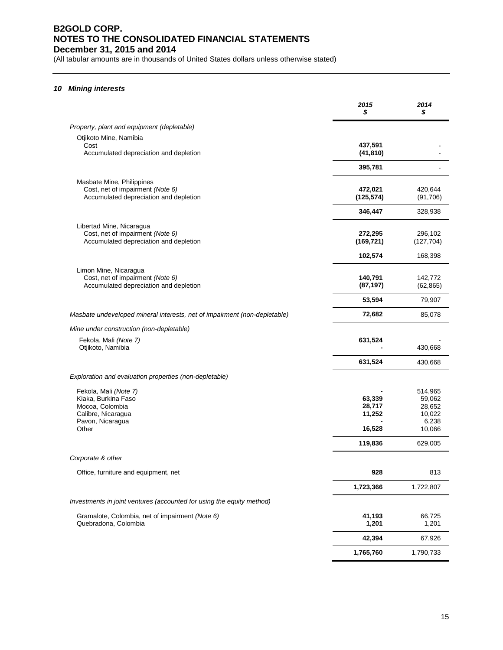(All tabular amounts are in thousands of United States dollars unless otherwise stated)

# *10 Mining interests*

|                                                                                                                    | 2015<br>\$                                      | 2014<br>\$                                                          |
|--------------------------------------------------------------------------------------------------------------------|-------------------------------------------------|---------------------------------------------------------------------|
| Property, plant and equipment (depletable)                                                                         |                                                 |                                                                     |
| Otjikoto Mine, Namibia<br>Cost<br>Accumulated depreciation and depletion                                           | 437,591<br>(41, 810)                            |                                                                     |
|                                                                                                                    | 395,781                                         |                                                                     |
| Masbate Mine, Philippines<br>Cost, net of impairment (Note 6)<br>Accumulated depreciation and depletion            | 472,021<br>(125, 574)                           | 420,644<br>(91,706)                                                 |
|                                                                                                                    | 346,447                                         | 328,938                                                             |
| Libertad Mine, Nicaragua<br>Cost, net of impairment (Note 6)<br>Accumulated depreciation and depletion             | 272,295<br>(169, 721)                           | 296,102<br>(127, 704)                                               |
|                                                                                                                    | 102,574                                         | 168,398                                                             |
| Limon Mine, Nicaragua<br>Cost, net of impairment (Note 6)<br>Accumulated depreciation and depletion                | 140,791<br>(87, 197)                            | 142,772<br>(62, 865)                                                |
|                                                                                                                    | 53,594                                          | 79,907                                                              |
| Masbate undeveloped mineral interests, net of impairment (non-depletable)                                          | 72,682                                          | 85,078                                                              |
| Mine under construction (non-depletable)                                                                           |                                                 |                                                                     |
| Fekola, Mali (Note 7)<br>Otjikoto, Namibia                                                                         | 631,524                                         | 430,668                                                             |
|                                                                                                                    | 631,524                                         | 430,668                                                             |
| Exploration and evaluation properties (non-depletable)                                                             |                                                 |                                                                     |
| Fekola, Mali (Note 7)<br>Kiaka, Burkina Faso<br>Mocoa, Colombia<br>Calibre, Nicaragua<br>Pavon, Nicaragua<br>Other | 63,339<br>28,717<br>11,252<br>16,528<br>119,836 | 514,965<br>59,062<br>28,652<br>10,022<br>6,238<br>10,066<br>629,005 |
| Corporate & other                                                                                                  |                                                 |                                                                     |
| Office, furniture and equipment, net                                                                               | 928                                             | 813                                                                 |
|                                                                                                                    | 1,723,366                                       | 1,722,807                                                           |
| Investments in joint ventures (accounted for using the equity method)                                              |                                                 |                                                                     |
| Gramalote, Colombia, net of impairment (Note 6)<br>Quebradona, Colombia                                            | 41,193<br>1,201                                 | 66,725<br>1,201                                                     |
|                                                                                                                    | 42,394                                          | 67,926                                                              |
|                                                                                                                    | 1,765,760                                       | 1,790,733                                                           |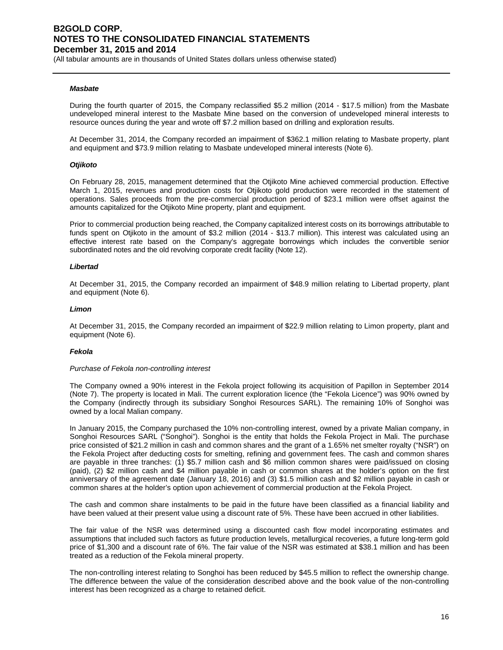(All tabular amounts are in thousands of United States dollars unless otherwise stated)

#### *Masbate*

During the fourth quarter of 2015, the Company reclassified \$5.2 million (2014 - \$17.5 million) from the Masbate undeveloped mineral interest to the Masbate Mine based on the conversion of undeveloped mineral interests to resource ounces during the year and wrote off \$7.2 million based on drilling and exploration results.

At December 31, 2014, the Company recorded an impairment of \$362.1 million relating to Masbate property, plant and equipment and \$73.9 million relating to Masbate undeveloped mineral interests (Note 6).

#### *Otjikoto*

On February 28, 2015, management determined that the Otjikoto Mine achieved commercial production. Effective March 1, 2015, revenues and production costs for Otjikoto gold production were recorded in the statement of operations. Sales proceeds from the pre-commercial production period of \$23.1 million were offset against the amounts capitalized for the Otjikoto Mine property, plant and equipment.

Prior to commercial production being reached, the Company capitalized interest costs on its borrowings attributable to funds spent on Otjikoto in the amount of \$3.2 million (2014 - \$13.7 million). This interest was calculated using an effective interest rate based on the Company's aggregate borrowings which includes the convertible senior subordinated notes and the old revolving corporate credit facility (Note 12).

### *Libertad*

At December 31, 2015, the Company recorded an impairment of \$48.9 million relating to Libertad property, plant and equipment (Note 6).

#### *Limon*

At December 31, 2015, the Company recorded an impairment of \$22.9 million relating to Limon property, plant and equipment (Note 6).

### *Fekola*

#### *Purchase of Fekola non-controlling interest*

The Company owned a 90% interest in the Fekola project following its acquisition of Papillon in September 2014 (Note 7). The property is located in Mali. The current exploration licence (the "Fekola Licence") was 90% owned by the Company (indirectly through its subsidiary Songhoi Resources SARL). The remaining 10% of Songhoi was owned by a local Malian company.

In January 2015, the Company purchased the 10% non-controlling interest, owned by a private Malian company, in Songhoi Resources SARL ("Songhoi"). Songhoi is the entity that holds the Fekola Project in Mali. The purchase price consisted of \$21.2 million in cash and common shares and the grant of a 1.65% net smelter royalty ("NSR") on the Fekola Project after deducting costs for smelting, refining and government fees. The cash and common shares are payable in three tranches: (1) \$5.7 million cash and \$6 million common shares were paid/issued on closing (paid), (2) \$2 million cash and \$4 million payable in cash or common shares at the holder's option on the first anniversary of the agreement date (January 18, 2016) and (3) \$1.5 million cash and \$2 million payable in cash or common shares at the holder's option upon achievement of commercial production at the Fekola Project.

The cash and common share instalments to be paid in the future have been classified as a financial liability and have been valued at their present value using a discount rate of 5%. These have been accrued in other liabilities.

The fair value of the NSR was determined using a discounted cash flow model incorporating estimates and assumptions that included such factors as future production levels, metallurgical recoveries, a future long-term gold price of \$1,300 and a discount rate of 6%. The fair value of the NSR was estimated at \$38.1 million and has been treated as a reduction of the Fekola mineral property.

The non-controlling interest relating to Songhoi has been reduced by \$45.5 million to reflect the ownership change. The difference between the value of the consideration described above and the book value of the non-controlling interest has been recognized as a charge to retained deficit.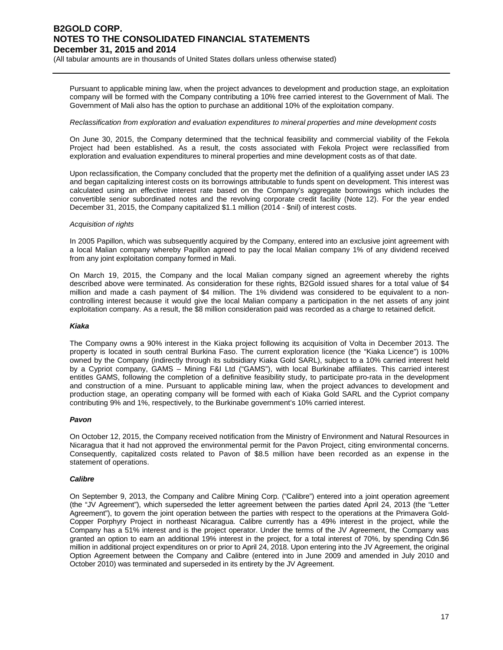(All tabular amounts are in thousands of United States dollars unless otherwise stated)

Pursuant to applicable mining law, when the project advances to development and production stage, an exploitation company will be formed with the Company contributing a 10% free carried interest to the Government of Mali. The Government of Mali also has the option to purchase an additional 10% of the exploitation company.

### *Reclassification from exploration and evaluation expenditures to mineral properties and mine development costs*

On June 30, 2015, the Company determined that the technical feasibility and commercial viability of the Fekola Project had been established. As a result, the costs associated with Fekola Project were reclassified from exploration and evaluation expenditures to mineral properties and mine development costs as of that date.

Upon reclassification, the Company concluded that the property met the definition of a qualifying asset under IAS 23 and began capitalizing interest costs on its borrowings attributable to funds spent on development. This interest was calculated using an effective interest rate based on the Company's aggregate borrowings which includes the convertible senior subordinated notes and the revolving corporate credit facility (Note 12). For the year ended December 31, 2015, the Company capitalized \$1.1 million (2014 - \$nil) of interest costs.

### *Acquisition of rights*

In 2005 Papillon, which was subsequently acquired by the Company, entered into an exclusive joint agreement with a local Malian company whereby Papillon agreed to pay the local Malian company 1% of any dividend received from any joint exploitation company formed in Mali.

On March 19, 2015, the Company and the local Malian company signed an agreement whereby the rights described above were terminated. As consideration for these rights, B2Gold issued shares for a total value of \$4 million and made a cash payment of \$4 million. The 1% dividend was considered to be equivalent to a noncontrolling interest because it would give the local Malian company a participation in the net assets of any joint exploitation company. As a result, the \$8 million consideration paid was recorded as a charge to retained deficit.

### *Kiaka*

The Company owns a 90% interest in the Kiaka project following its acquisition of Volta in December 2013. The property is located in south central Burkina Faso. The current exploration licence (the "Kiaka Licence") is 100% owned by the Company (indirectly through its subsidiary Kiaka Gold SARL), subject to a 10% carried interest held by a Cypriot company, GAMS – Mining F&I Ltd ("GAMS"), with local Burkinabe affiliates. This carried interest entitles GAMS, following the completion of a definitive feasibility study, to participate pro-rata in the development and construction of a mine. Pursuant to applicable mining law, when the project advances to development and production stage, an operating company will be formed with each of Kiaka Gold SARL and the Cypriot company contributing 9% and 1%, respectively, to the Burkinabe government's 10% carried interest.

### *Pavon*

On October 12, 2015, the Company received notification from the Ministry of Environment and Natural Resources in Nicaragua that it had not approved the environmental permit for the Pavon Project, citing environmental concerns. Consequently, capitalized costs related to Pavon of \$8.5 million have been recorded as an expense in the statement of operations.

### *Calibre*

On September 9, 2013, the Company and Calibre Mining Corp. ("Calibre") entered into a joint operation agreement (the "JV Agreement"), which superseded the letter agreement between the parties dated April 24, 2013 (the "Letter Agreement"), to govern the joint operation between the parties with respect to the operations at the Primavera Gold-Copper Porphyry Project in northeast Nicaragua. Calibre currently has a 49% interest in the project, while the Company has a 51% interest and is the project operator. Under the terms of the JV Agreement, the Company was granted an option to earn an additional 19% interest in the project, for a total interest of 70%, by spending Cdn.\$6 million in additional project expenditures on or prior to April 24, 2018. Upon entering into the JV Agreement, the original Option Agreement between the Company and Calibre (entered into in June 2009 and amended in July 2010 and October 2010) was terminated and superseded in its entirety by the JV Agreement.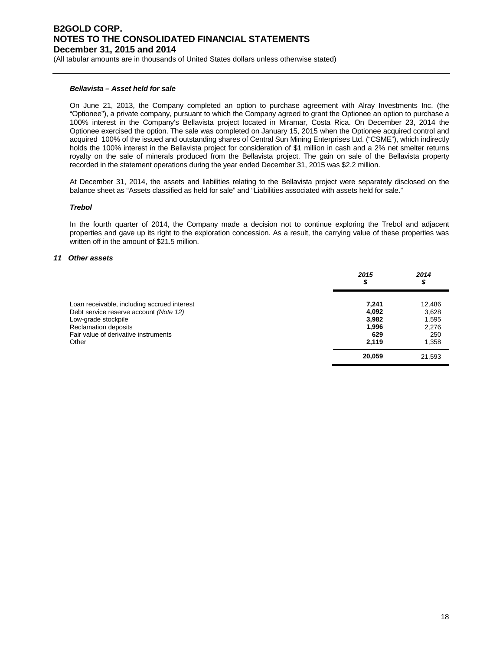(All tabular amounts are in thousands of United States dollars unless otherwise stated)

### *Bellavista – Asset held for sale*

On June 21, 2013, the Company completed an option to purchase agreement with Alray Investments Inc. (the "Optionee"), a private company, pursuant to which the Company agreed to grant the Optionee an option to purchase a 100% interest in the Company's Bellavista project located in Miramar, Costa Rica. On December 23, 2014 the Optionee exercised the option. The sale was completed on January 15, 2015 when the Optionee acquired control and acquired 100% of the issued and outstanding shares of Central Sun Mining Enterprises Ltd. ("CSME"), which indirectly holds the 100% interest in the Bellavista project for consideration of \$1 million in cash and a 2% net smelter returns royalty on the sale of minerals produced from the Bellavista project. The gain on sale of the Bellavista property recorded in the statement operations during the year ended December 31, 2015 was \$2.2 million.

At December 31, 2014, the assets and liabilities relating to the Bellavista project were separately disclosed on the balance sheet as "Assets classified as held for sale" and "Liabilities associated with assets held for sale."

#### *Trebol*

In the fourth quarter of 2014, the Company made a decision not to continue exploring the Trebol and adjacent properties and gave up its right to the exploration concession. As a result, the carrying value of these properties was written off in the amount of \$21.5 million.

### *11 Other assets*

|                                                                                                                                                                                              | 2015<br>\$                                       | 2014<br>\$                                        |
|----------------------------------------------------------------------------------------------------------------------------------------------------------------------------------------------|--------------------------------------------------|---------------------------------------------------|
| Loan receivable, including accrued interest<br>Debt service reserve account (Note 12)<br>Low-grade stockpile<br><b>Reclamation deposits</b><br>Fair value of derivative instruments<br>Other | 7,241<br>4,092<br>3,982<br>1,996<br>629<br>2.119 | 12,486<br>3,628<br>1,595<br>2,276<br>250<br>1,358 |
|                                                                                                                                                                                              | 20,059                                           | 21,593                                            |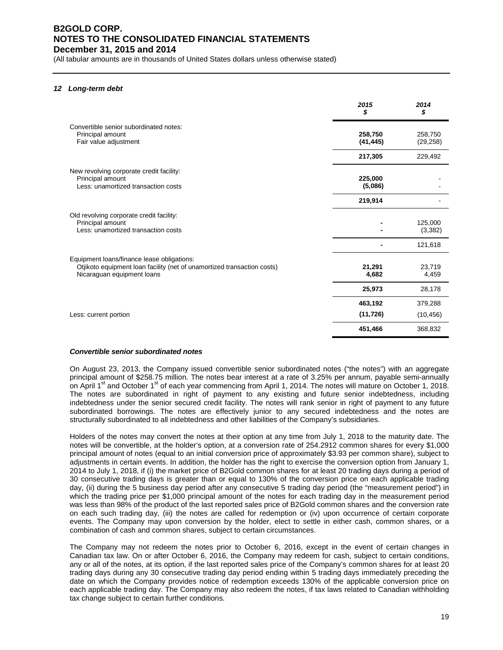(All tabular amounts are in thousands of United States dollars unless otherwise stated)

### *12 Long-term debt*

|                                                                                                                                                     | 2015<br>S            | 2014<br>\$           |
|-----------------------------------------------------------------------------------------------------------------------------------------------------|----------------------|----------------------|
| Convertible senior subordinated notes:<br>Principal amount<br>Fair value adjustment                                                                 | 258,750<br>(41, 445) | 258,750<br>(29, 258) |
|                                                                                                                                                     | 217,305              | 229,492              |
| New revolving corporate credit facility:<br>Principal amount<br>Less: unamortized transaction costs                                                 | 225,000<br>(5,086)   |                      |
|                                                                                                                                                     | 219,914              |                      |
| Old revolving corporate credit facility:<br>Principal amount<br>Less: unamortized transaction costs                                                 |                      | 125,000<br>(3,382)   |
|                                                                                                                                                     |                      | 121,618              |
| Equipment loans/finance lease obligations:<br>Otjikoto equipment loan facility (net of unamortized transaction costs)<br>Nicaraguan equipment loans | 21,291<br>4,682      | 23,719<br>4,459      |
|                                                                                                                                                     | 25,973               | 28,178               |
|                                                                                                                                                     | 463,192              | 379,288              |
| Less: current portion                                                                                                                               | (11, 726)            | (10, 456)            |
|                                                                                                                                                     | 451,466              | 368,832              |

### *Convertible senior subordinated notes*

On August 23, 2013, the Company issued convertible senior subordinated notes ("the notes") with an aggregate principal amount of \$258.75 million. The notes bear interest at a rate of 3.25% per annum, payable semi-annually on April 1<sup>st</sup> and October 1<sup>st</sup> of each year commencing from April 1, 2014. The notes will mature on October 1, 2018. The notes are subordinated in right of payment to any existing and future senior indebtedness, including indebtedness under the senior secured credit facility. The notes will rank senior in right of payment to any future subordinated borrowings. The notes are effectively junior to any secured indebtedness and the notes are structurally subordinated to all indebtedness and other liabilities of the Company's subsidiaries.

Holders of the notes may convert the notes at their option at any time from July 1, 2018 to the maturity date. The notes will be convertible, at the holder's option, at a conversion rate of 254.2912 common shares for every \$1,000 principal amount of notes (equal to an initial conversion price of approximately \$3.93 per common share), subject to adjustments in certain events. In addition, the holder has the right to exercise the conversion option from January 1, 2014 to July 1, 2018, if (i) the market price of B2Gold common shares for at least 20 trading days during a period of 30 consecutive trading days is greater than or equal to 130% of the conversion price on each applicable trading day, (ii) during the 5 business day period after any consecutive 5 trading day period (the "measurement period") in which the trading price per \$1,000 principal amount of the notes for each trading day in the measurement period was less than 98% of the product of the last reported sales price of B2Gold common shares and the conversion rate on each such trading day, (iii) the notes are called for redemption or (iv) upon occurrence of certain corporate events. The Company may upon conversion by the holder, elect to settle in either cash, common shares, or a combination of cash and common shares, subject to certain circumstances.

The Company may not redeem the notes prior to October 6, 2016, except in the event of certain changes in Canadian tax law. On or after October 6, 2016, the Company may redeem for cash, subject to certain conditions, any or all of the notes, at its option, if the last reported sales price of the Company's common shares for at least 20 trading days during any 30 consecutive trading day period ending within 5 trading days immediately preceding the date on which the Company provides notice of redemption exceeds 130% of the applicable conversion price on each applicable trading day. The Company may also redeem the notes, if tax laws related to Canadian withholding tax change subject to certain further conditions.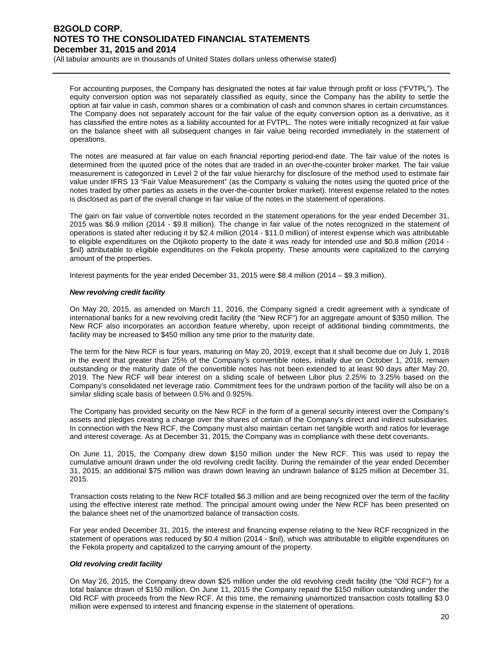(All tabular amounts are in thousands of United States dollars unless otherwise stated)

For accounting purposes, the Company has designated the notes at fair value through profit or loss ("FVTPL"). The equity conversion option was not separately classified as equity, since the Company has the ability to settle the option at fair value in cash, common shares or a combination of cash and common shares in certain circumstances. The Company does not separately account for the fair value of the equity conversion option as a derivative, as it has classified the entire notes as a liability accounted for at FVTPL. The notes were initially recognized at fair value on the balance sheet with all subsequent changes in fair value being recorded immediately in the statement of operations.

The notes are measured at fair value on each financial reporting period-end date. The fair value of the notes is determined from the quoted price of the notes that are traded in an over-the-counter broker market. The fair value measurement is categorized in Level 2 of the fair value hierarchy for disclosure of the method used to estimate fair value under IFRS 13 "Fair Value Measurement" (as the Company is valuing the notes using the quoted price of the notes traded by other parties as assets in the over-the-counter broker market). Interest expense related to the notes is disclosed as part of the overall change in fair value of the notes in the statement of operations.

The gain on fair value of convertible notes recorded in the statement operations for the year ended December 31, 2015 was \$6.9 million (2014 - \$9.8 million). The change in fair value of the notes recognized in the statement of operations is stated after reducing it by \$2.4 million (2014 - \$11.0 million) of interest expense which was attributable to eligible expenditures on the Otjikoto property to the date it was ready for intended use and \$0.8 million (2014 - \$nil) attributable to eligible expenditures on the Fekola property. These amounts were capitalized to the carrying amount of the properties.

Interest payments for the year ended December 31, 2015 were \$8.4 million (2014 – \$9.3 million).

### *New revolving credit facility*

On May 20, 2015, as amended on March 11, 2016, the Company signed a credit agreement with a syndicate of international banks for a new revolving credit facility (the "New RCF") for an aggregate amount of \$350 million. The New RCF also incorporates an accordion feature whereby, upon receipt of additional binding commitments, the facility may be increased to \$450 million any time prior to the maturity date.

The term for the New RCF is four years, maturing on May 20, 2019, except that it shall become due on July 1, 2018 in the event that greater than 25% of the Company's convertible notes, initially due on October 1, 2018, remain outstanding or the maturity date of the convertible notes has not been extended to at least 90 days after May 20, 2019. The New RCF will bear interest on a sliding scale of between Libor plus 2.25% to 3.25% based on the Company's consolidated net leverage ratio. Commitment fees for the undrawn portion of the facility will also be on a similar sliding scale basis of between 0.5% and 0.925%.

The Company has provided security on the New RCF in the form of a general security interest over the Company's assets and pledges creating a charge over the shares of certain of the Company's direct and indirect subsidiaries. In connection with the New RCF, the Company must also maintain certain net tangible worth and ratios for leverage and interest coverage. As at December 31, 2015, the Company was in compliance with these debt covenants.

On June 11, 2015, the Company drew down \$150 million under the New RCF. This was used to repay the cumulative amount drawn under the old revolving credit facility. During the remainder of the year ended December 31, 2015, an additional \$75 million was drawn down leaving an undrawn balance of \$125 million at December 31, 2015.

Transaction costs relating to the New RCF totalled \$6.3 million and are being recognized over the term of the facility using the effective interest rate method. The principal amount owing under the New RCF has been presented on the balance sheet net of the unamortized balance of transaction costs.

For year ended December 31, 2015, the interest and financing expense relating to the New RCF recognized in the statement of operations was reduced by \$0.4 million (2014 - \$nil), which was attributable to eligible expenditures on the Fekola property and capitalized to the carrying amount of the property.

### *Old revolving credit facility*

On May 26, 2015, the Company drew down \$25 million under the old revolving credit facility (the "Old RCF") for a total balance drawn of \$150 million. On June 11, 2015 the Company repaid the \$150 million outstanding under the Old RCF with proceeds from the New RCF. At this time, the remaining unamortized transaction costs totalling \$3.0 million were expensed to interest and financing expense in the statement of operations.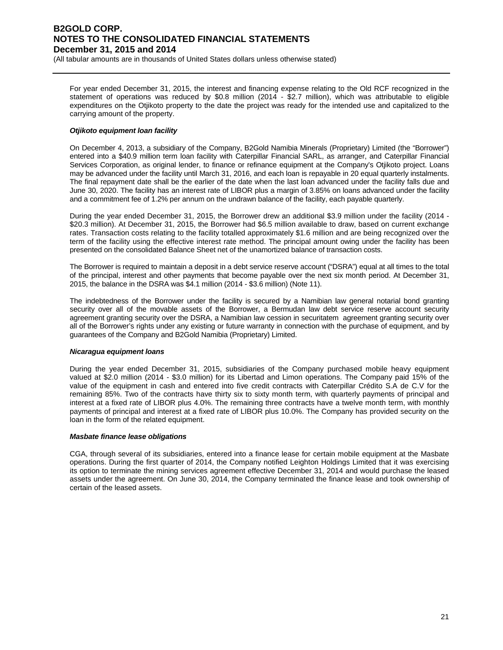(All tabular amounts are in thousands of United States dollars unless otherwise stated)

For year ended December 31, 2015, the interest and financing expense relating to the Old RCF recognized in the statement of operations was reduced by \$0.8 million (2014 - \$2.7 million), which was attributable to eligible expenditures on the Otjikoto property to the date the project was ready for the intended use and capitalized to the carrying amount of the property.

### *Otjikoto equipment loan facility*

On December 4, 2013, a subsidiary of the Company, B2Gold Namibia Minerals (Proprietary) Limited (the "Borrower") entered into a \$40.9 million term loan facility with Caterpillar Financial SARL, as arranger, and Caterpillar Financial Services Corporation, as original lender, to finance or refinance equipment at the Company's Otjikoto project. Loans may be advanced under the facility until March 31, 2016, and each loan is repayable in 20 equal quarterly instalments. The final repayment date shall be the earlier of the date when the last loan advanced under the facility falls due and June 30, 2020. The facility has an interest rate of LIBOR plus a margin of 3.85% on loans advanced under the facility and a commitment fee of 1.2% per annum on the undrawn balance of the facility, each payable quarterly.

During the year ended December 31, 2015, the Borrower drew an additional \$3.9 million under the facility (2014 - \$20.3 million). At December 31, 2015, the Borrower had \$6.5 million available to draw, based on current exchange rates. Transaction costs relating to the facility totalled approximately \$1.6 million and are being recognized over the term of the facility using the effective interest rate method. The principal amount owing under the facility has been presented on the consolidated Balance Sheet net of the unamortized balance of transaction costs.

The Borrower is required to maintain a deposit in a debt service reserve account ("DSRA") equal at all times to the total of the principal, interest and other payments that become payable over the next six month period. At December 31, 2015, the balance in the DSRA was \$4.1 million (2014 - \$3.6 million) (Note 11).

The indebtedness of the Borrower under the facility is secured by a Namibian law general notarial bond granting security over all of the movable assets of the Borrower, a Bermudan law debt service reserve account security agreement granting security over the DSRA, a Namibian law cession in securitatem agreement granting security over all of the Borrower's rights under any existing or future warranty in connection with the purchase of equipment, and by guarantees of the Company and B2Gold Namibia (Proprietary) Limited.

### *Nicaragua equipment loans*

During the year ended December 31, 2015, subsidiaries of the Company purchased mobile heavy equipment valued at \$2.0 million (2014 - \$3.0 million) for its Libertad and Limon operations. The Company paid 15% of the value of the equipment in cash and entered into five credit contracts with Caterpillar Crédito S.A de C.V for the remaining 85%. Two of the contracts have thirty six to sixty month term, with quarterly payments of principal and interest at a fixed rate of LIBOR plus 4.0%. The remaining three contracts have a twelve month term, with monthly payments of principal and interest at a fixed rate of LIBOR plus 10.0%. The Company has provided security on the loan in the form of the related equipment.

### *Masbate finance lease obligations*

CGA, through several of its subsidiaries, entered into a finance lease for certain mobile equipment at the Masbate operations. During the first quarter of 2014, the Company notified Leighton Holdings Limited that it was exercising its option to terminate the mining services agreement effective December 31, 2014 and would purchase the leased assets under the agreement. On June 30, 2014, the Company terminated the finance lease and took ownership of certain of the leased assets.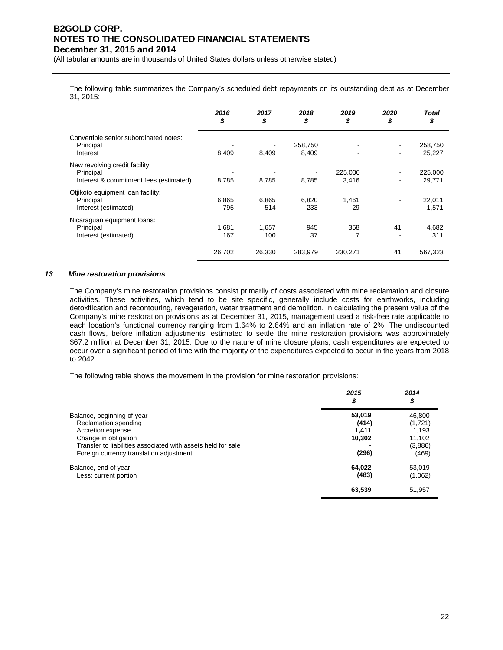(All tabular amounts are in thousands of United States dollars unless otherwise stated)

The following table summarizes the Company's scheduled debt repayments on its outstanding debt as at December 31, 2015:

|                                                                                       | 2016<br>\$   | 2017<br>\$   | 2018<br>\$       | 2019<br>\$       | 2020<br>\$                       | Total<br>\$       |
|---------------------------------------------------------------------------------------|--------------|--------------|------------------|------------------|----------------------------------|-------------------|
| Convertible senior subordinated notes:<br>Principal<br>Interest                       | 8,409        | 8,409        | 258.750<br>8,409 |                  | $\blacksquare$                   | 258,750<br>25,227 |
| New revolving credit facility:<br>Principal<br>Interest & commitment fees (estimated) | 8,785        | 8,785        | 8,785            | 225,000<br>3,416 | $\blacksquare$<br>$\blacksquare$ | 225,000<br>29,771 |
| Otjikoto equipment loan facility:<br>Principal<br>Interest (estimated)                | 6,865<br>795 | 6,865<br>514 | 6,820<br>233     | 1,461<br>29      |                                  | 22,011<br>1,571   |
| Nicaraguan equipment loans:<br>Principal<br>Interest (estimated)                      | 1,681<br>167 | 1,657<br>100 | 945<br>37        | 358              | 41                               | 4,682<br>311      |
|                                                                                       | 26,702       | 26,330       | 283,979          | 230,271          | 41                               | 567,323           |

### *13 Mine restoration provisions*

The Company's mine restoration provisions consist primarily of costs associated with mine reclamation and closure activities. These activities, which tend to be site specific, generally include costs for earthworks, including detoxification and recontouring, revegetation, water treatment and demolition. In calculating the present value of the Company's mine restoration provisions as at December 31, 2015, management used a risk-free rate applicable to each location's functional currency ranging from 1.64% to 2.64% and an inflation rate of 2%. The undiscounted cash flows, before inflation adjustments, estimated to settle the mine restoration provisions was approximately \$67.2 million at December 31, 2015. Due to the nature of mine closure plans, cash expenditures are expected to occur over a significant period of time with the majority of the expenditures expected to occur in the years from 2018 to 2042.

The following table shows the movement in the provision for mine restoration provisions:

|                                                                                                                                                                                                            | 2015<br>\$                                  | 2014<br>\$                                               |
|------------------------------------------------------------------------------------------------------------------------------------------------------------------------------------------------------------|---------------------------------------------|----------------------------------------------------------|
| Balance, beginning of year<br>Reclamation spending<br>Accretion expense<br>Change in obligation<br>Transfer to liabilities associated with assets held for sale<br>Foreign currency translation adjustment | 53,019<br>(414)<br>1,411<br>10,302<br>(296) | 46,800<br>(1,721)<br>1,193<br>11,102<br>(3,886)<br>(469) |
| Balance, end of year<br>Less: current portion                                                                                                                                                              | 64,022<br>(483)                             | 53,019<br>(1,062)                                        |
|                                                                                                                                                                                                            | 63,539                                      | 51,957                                                   |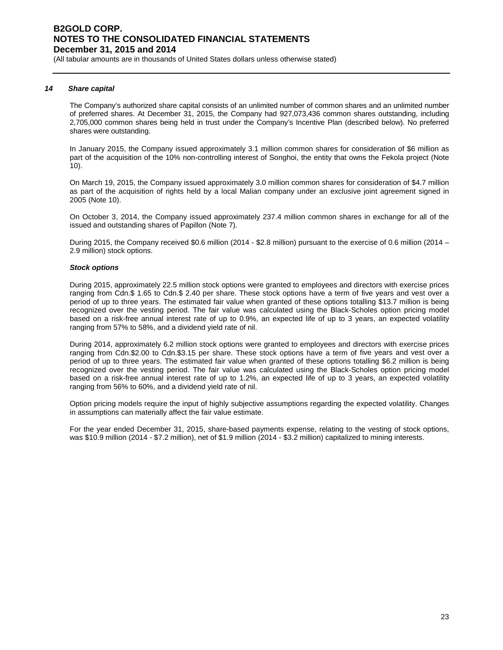(All tabular amounts are in thousands of United States dollars unless otherwise stated)

### *14 Share capital*

The Company's authorized share capital consists of an unlimited number of common shares and an unlimited number of preferred shares. At December 31, 2015, the Company had 927,073,436 common shares outstanding, including 2,705,000 common shares being held in trust under the Company's Incentive Plan (described below). No preferred shares were outstanding.

In January 2015, the Company issued approximately 3.1 million common shares for consideration of \$6 million as part of the acquisition of the 10% non-controlling interest of Songhoi, the entity that owns the Fekola project (Note 10).

On March 19, 2015, the Company issued approximately 3.0 million common shares for consideration of \$4.7 million as part of the acquisition of rights held by a local Malian company under an exclusive joint agreement signed in 2005 (Note 10).

On October 3, 2014, the Company issued approximately 237.4 million common shares in exchange for all of the issued and outstanding shares of Papillon (Note 7).

During 2015, the Company received \$0.6 million (2014 - \$2.8 million) pursuant to the exercise of 0.6 million (2014 – 2.9 million) stock options.

### *Stock options*

During 2015, approximately 22.5 million stock options were granted to employees and directors with exercise prices ranging from Cdn.\$ 1.65 to Cdn.\$ 2.40 per share. These stock options have a term of five years and vest over a period of up to three years. The estimated fair value when granted of these options totalling \$13.7 million is being recognized over the vesting period. The fair value was calculated using the Black-Scholes option pricing model based on a risk-free annual interest rate of up to 0.9%, an expected life of up to 3 years, an expected volatility ranging from 57% to 58%, and a dividend yield rate of nil.

During 2014, approximately 6.2 million stock options were granted to employees and directors with exercise prices ranging from Cdn.\$2.00 to Cdn.\$3.15 per share. These stock options have a term of five years and vest over a period of up to three years. The estimated fair value when granted of these options totalling \$6.2 million is being recognized over the vesting period. The fair value was calculated using the Black-Scholes option pricing model based on a risk-free annual interest rate of up to 1.2%, an expected life of up to 3 years, an expected volatility ranging from 56% to 60%, and a dividend yield rate of nil.

Option pricing models require the input of highly subjective assumptions regarding the expected volatility. Changes in assumptions can materially affect the fair value estimate.

For the year ended December 31, 2015, share-based payments expense, relating to the vesting of stock options, was \$10.9 million (2014 - \$7.2 million), net of \$1.9 million (2014 - \$3.2 million) capitalized to mining interests.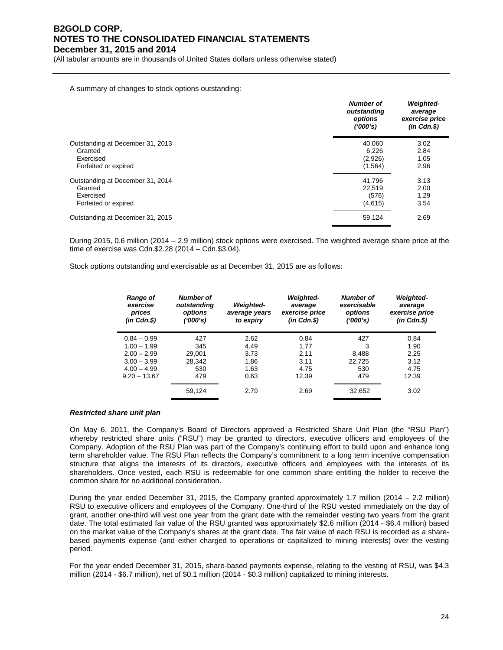(All tabular amounts are in thousands of United States dollars unless otherwise stated)

#### A summary of changes to stock options outstanding:

|                                  | <b>Number of</b><br>outstanding<br>options<br>(1000's) | <b>Weighted-</b><br>average<br>exercise price<br>$(in$ $Cdn.S)$ |
|----------------------------------|--------------------------------------------------------|-----------------------------------------------------------------|
| Outstanding at December 31, 2013 | 40.060                                                 | 3.02                                                            |
| Granted                          | 6.226                                                  | 2.84                                                            |
| Exercised                        | (2,926)                                                | 1.05                                                            |
| Forfeited or expired             | (1,564)                                                | 2.96                                                            |
| Outstanding at December 31, 2014 | 41,796                                                 | 3.13                                                            |
| Granted                          | 22.519                                                 | 2.00                                                            |
| Exercised                        | (576)                                                  | 1.29                                                            |
| Forfeited or expired             | (4,615)                                                | 3.54                                                            |
| Outstanding at December 31, 2015 | 59,124                                                 | 2.69                                                            |

During 2015, 0.6 million (2014 – 2.9 million) stock options were exercised. The weighted average share price at the time of exercise was Cdn.\$2.28 (2014 – Cdn.\$3.04).

Stock options outstanding and exercisable as at December 31, 2015 are as follows:

| <b>Range of</b><br>exercise<br>prices<br>$(in$ $Cdn.S)$ | <b>Number of</b><br>outstanding<br>options<br>('000's) | <b>Weighted-</b><br>average years<br>to expiry | <b>Weighted-</b><br>average<br>exercise price<br>$(in$ $Cdn.S)$ | <b>Number of</b><br>exercisable<br>options<br>(1000's) | <b>Weighted-</b><br>average<br>exercise price<br>$(in$ $Cdn.S)$ |
|---------------------------------------------------------|--------------------------------------------------------|------------------------------------------------|-----------------------------------------------------------------|--------------------------------------------------------|-----------------------------------------------------------------|
| $0.84 - 0.99$                                           | 427                                                    | 2.62                                           | 0.84                                                            | 427                                                    | 0.84                                                            |
| $1.00 - 1.99$                                           | 345                                                    | 4.49                                           | 1.77                                                            | 3                                                      | 1.90                                                            |
| $2.00 - 2.99$                                           | 29.001                                                 | 3.73                                           | 2.11                                                            | 8.488                                                  | 2.25                                                            |
| $3.00 - 3.99$                                           | 28,342                                                 | 1.86                                           | 3.11                                                            | 22.725                                                 | 3.12                                                            |
| $4.00 - 4.99$                                           | 530                                                    | 1.63                                           | 4.75                                                            | 530                                                    | 4.75                                                            |
| $9.20 - 13.67$                                          | 479                                                    | 0.63                                           | 12.39                                                           | 479                                                    | 12.39                                                           |
|                                                         | 59,124                                                 | 2.79                                           | 2.69                                                            | 32,652                                                 | 3.02                                                            |

### *Restricted share unit plan*

On May 6, 2011, the Company's Board of Directors approved a Restricted Share Unit Plan (the "RSU Plan") whereby restricted share units ("RSU") may be granted to directors, executive officers and employees of the Company. Adoption of the RSU Plan was part of the Company's continuing effort to build upon and enhance long term shareholder value. The RSU Plan reflects the Company's commitment to a long term incentive compensation structure that aligns the interests of its directors, executive officers and employees with the interests of its shareholders. Once vested, each RSU is redeemable for one common share entitling the holder to receive the common share for no additional consideration.

During the year ended December 31, 2015, the Company granted approximately 1.7 million (2014 – 2.2 million) RSU to executive officers and employees of the Company. One-third of the RSU vested immediately on the day of grant, another one-third will vest one year from the grant date with the remainder vesting two years from the grant date. The total estimated fair value of the RSU granted was approximately \$2.6 million (2014 - \$6.4 million) based on the market value of the Company's shares at the grant date. The fair value of each RSU is recorded as a sharebased payments expense (and either charged to operations or capitalized to mining interests) over the vesting period.

For the year ended December 31, 2015, share-based payments expense, relating to the vesting of RSU, was \$4.3 million (2014 - \$6.7 million), net of \$0.1 million (2014 - \$0.3 million) capitalized to mining interests.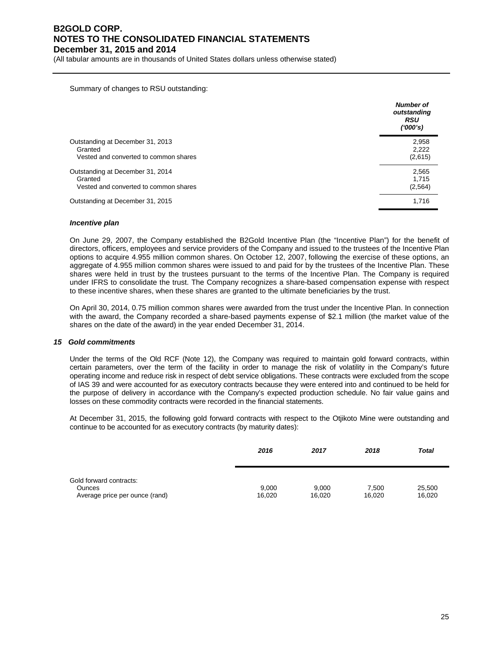(All tabular amounts are in thousands of United States dollars unless otherwise stated)

Summary of changes to RSU outstanding:

|                                       | <b>Number of</b><br>outstanding<br><b>RSU</b><br>('000's) |
|---------------------------------------|-----------------------------------------------------------|
| Outstanding at December 31, 2013      | 2,958                                                     |
| Granted                               | 2.222                                                     |
| Vested and converted to common shares | (2,615)                                                   |
| Outstanding at December 31, 2014      | 2,565                                                     |
| Granted                               | 1.715                                                     |
| Vested and converted to common shares | (2, 564)                                                  |
| Outstanding at December 31, 2015      | 1.716                                                     |

#### *Incentive plan*

On June 29, 2007, the Company established the B2Gold Incentive Plan (the "Incentive Plan") for the benefit of directors, officers, employees and service providers of the Company and issued to the trustees of the Incentive Plan options to acquire 4.955 million common shares. On October 12, 2007, following the exercise of these options, an aggregate of 4.955 million common shares were issued to and paid for by the trustees of the Incentive Plan. These shares were held in trust by the trustees pursuant to the terms of the Incentive Plan. The Company is required under IFRS to consolidate the trust. The Company recognizes a share-based compensation expense with respect to these incentive shares, when these shares are granted to the ultimate beneficiaries by the trust.

On April 30, 2014, 0.75 million common shares were awarded from the trust under the Incentive Plan. In connection with the award, the Company recorded a share-based payments expense of \$2.1 million (the market value of the shares on the date of the award) in the year ended December 31, 2014.

### *15 Gold commitments*

Under the terms of the Old RCF (Note 12), the Company was required to maintain gold forward contracts, within certain parameters, over the term of the facility in order to manage the risk of volatility in the Company's future operating income and reduce risk in respect of debt service obligations. These contracts were excluded from the scope of IAS 39 and were accounted for as executory contracts because they were entered into and continued to be held for the purpose of delivery in accordance with the Company's expected production schedule. No fair value gains and losses on these commodity contracts were recorded in the financial statements.

At December 31, 2015, the following gold forward contracts with respect to the Otjikoto Mine were outstanding and continue to be accounted for as executory contracts (by maturity dates):

|                                | 2016   | 2017   | 2018   | <b>Total</b> |
|--------------------------------|--------|--------|--------|--------------|
|                                |        |        |        |              |
| Gold forward contracts:        |        |        |        |              |
| <b>Ounces</b>                  | 9.000  | 9.000  | 7.500  | 25,500       |
| Average price per ounce (rand) | 16.020 | 16.020 | 16,020 | 16,020       |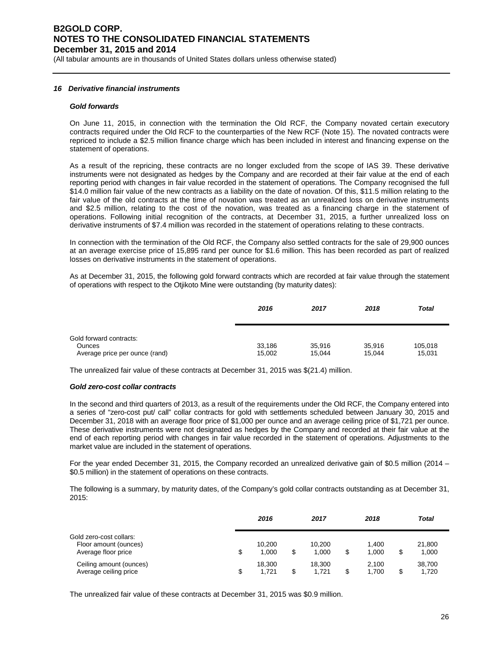(All tabular amounts are in thousands of United States dollars unless otherwise stated)

### *16 Derivative financial instruments*

### *Gold forwards*

On June 11, 2015, in connection with the termination the Old RCF, the Company novated certain executory contracts required under the Old RCF to the counterparties of the New RCF (Note 15). The novated contracts were repriced to include a \$2.5 million finance charge which has been included in interest and financing expense on the statement of operations.

As a result of the repricing, these contracts are no longer excluded from the scope of IAS 39. These derivative instruments were not designated as hedges by the Company and are recorded at their fair value at the end of each reporting period with changes in fair value recorded in the statement of operations. The Company recognised the full \$14.0 million fair value of the new contracts as a liability on the date of novation. Of this, \$11.5 million relating to the fair value of the old contracts at the time of novation was treated as an unrealized loss on derivative instruments and \$2.5 million, relating to the cost of the novation, was treated as a financing charge in the statement of operations. Following initial recognition of the contracts, at December 31, 2015, a further unrealized loss on derivative instruments of \$7.4 million was recorded in the statement of operations relating to these contracts.

In connection with the termination of the Old RCF, the Company also settled contracts for the sale of 29,900 ounces at an average exercise price of 15,895 rand per ounce for \$1.6 million. This has been recorded as part of realized losses on derivative instruments in the statement of operations.

As at December 31, 2015, the following gold forward contracts which are recorded at fair value through the statement of operations with respect to the Otjikoto Mine were outstanding (by maturity dates):

|                                                                            | 2016             | 2017             | 2018             | <b>Total</b>      |
|----------------------------------------------------------------------------|------------------|------------------|------------------|-------------------|
| Gold forward contracts:<br><b>Ounces</b><br>Average price per ounce (rand) | 33,186<br>15,002 | 35,916<br>15,044 | 35,916<br>15,044 | 105,018<br>15,031 |

The unrealized fair value of these contracts at December 31, 2015 was \$(21.4) million.

#### *Gold zero-cost collar contracts*

In the second and third quarters of 2013, as a result of the requirements under the Old RCF, the Company entered into a series of "zero-cost put/ call" collar contracts for gold with settlements scheduled between January 30, 2015 and December 31, 2018 with an average floor price of \$1,000 per ounce and an average ceiling price of \$1,721 per ounce. These derivative instruments were not designated as hedges by the Company and recorded at their fair value at the end of each reporting period with changes in fair value recorded in the statement of operations. Adjustments to the market value are included in the statement of operations.

For the year ended December 31, 2015, the Company recorded an unrealized derivative gain of \$0.5 million (2014 – \$0.5 million) in the statement of operations on these contracts.

The following is a summary, by maturity dates, of the Company's gold collar contracts outstanding as at December 31, 2015:

|                                                                         |   | 2016            | 2017                  | 2018           | <b>Total</b>          |  |
|-------------------------------------------------------------------------|---|-----------------|-----------------------|----------------|-----------------------|--|
| Gold zero-cost collars:<br>Floor amount (ounces)<br>Average floor price | S | 10.200<br>1.000 | \$<br>10.200<br>1.000 | 1.400<br>1.000 | \$<br>21.800<br>1,000 |  |
| Ceiling amount (ounces)<br>Average ceiling price                        | S | 18.300<br>1.721 | \$<br>18.300<br>1.721 | 2.100<br>1.700 | 38.700<br>1.720       |  |

The unrealized fair value of these contracts at December 31, 2015 was \$0.9 million.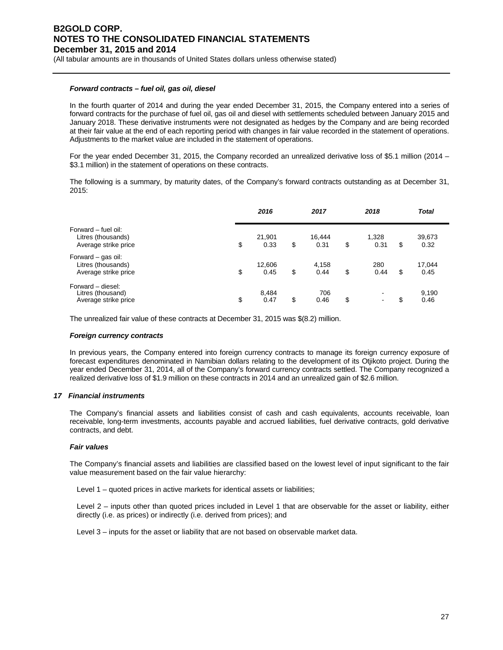(All tabular amounts are in thousands of United States dollars unless otherwise stated)

### *Forward contracts – fuel oil, gas oil, diesel*

In the fourth quarter of 2014 and during the year ended December 31, 2015, the Company entered into a series of forward contracts for the purchase of fuel oil, gas oil and diesel with settlements scheduled between January 2015 and January 2018. These derivative instruments were not designated as hedges by the Company and are being recorded at their fair value at the end of each reporting period with changes in fair value recorded in the statement of operations. Adjustments to the market value are included in the statement of operations.

For the year ended December 31, 2015, the Company recorded an unrealized derivative loss of \$5.1 million (2014 – \$3.1 million) in the statement of operations on these contracts.

The following is a summary, by maturity dates, of the Company's forward contracts outstanding as at December 31, 2015:

|                                                                   | 2016                 | 2017                 | 2018                                   | <b>Total</b>         |  |
|-------------------------------------------------------------------|----------------------|----------------------|----------------------------------------|----------------------|--|
| Forward – fuel oil:<br>Litres (thousands)<br>Average strike price | \$<br>21,901<br>0.33 | \$<br>16,444<br>0.31 | \$<br>1,328<br>0.31                    | \$<br>39,673<br>0.32 |  |
| Forward - gas oil:<br>Litres (thousands)<br>Average strike price  | \$<br>12,606<br>0.45 | \$<br>4,158<br>0.44  | \$<br>280<br>0.44                      | \$<br>17,044<br>0.45 |  |
| Forward – diesel:<br>Litres (thousand)<br>Average strike price    | \$<br>8,484<br>0.47  | \$<br>706<br>0.46    | \$<br>$\blacksquare$<br>$\blacksquare$ | \$<br>9,190<br>0.46  |  |

The unrealized fair value of these contracts at December 31, 2015 was \$(8.2) million.

### *Foreign currency contracts*

In previous years, the Company entered into foreign currency contracts to manage its foreign currency exposure of forecast expenditures denominated in Namibian dollars relating to the development of its Otjikoto project. During the year ended December 31, 2014, all of the Company's forward currency contracts settled. The Company recognized a realized derivative loss of \$1.9 million on these contracts in 2014 and an unrealized gain of \$2.6 million.

### *17 Financial instruments*

The Company's financial assets and liabilities consist of cash and cash equivalents, accounts receivable, loan receivable, long-term investments, accounts payable and accrued liabilities, fuel derivative contracts, gold derivative contracts, and debt.

#### *Fair values*

The Company's financial assets and liabilities are classified based on the lowest level of input significant to the fair value measurement based on the fair value hierarchy:

Level 1 – quoted prices in active markets for identical assets or liabilities;

Level 2 – inputs other than quoted prices included in Level 1 that are observable for the asset or liability, either directly (i.e. as prices) or indirectly (i.e. derived from prices); and

Level 3 – inputs for the asset or liability that are not based on observable market data.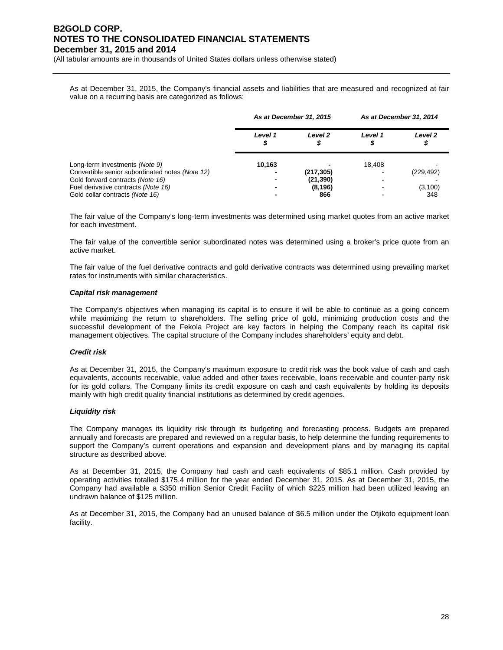(All tabular amounts are in thousands of United States dollars unless otherwise stated)

As at December 31, 2015, the Company's financial assets and liabilities that are measured and recognized at fair value on a recurring basis are categorized as follows:

|                                                 | As at December 31, 2015 |                    | As at December 31, 2014 |                    |
|-------------------------------------------------|-------------------------|--------------------|-------------------------|--------------------|
|                                                 | Level 1                 | Level <sub>2</sub> | Level 1                 | Level <sub>2</sub> |
| Long-term investments (Note 9)                  | 10.163                  |                    | 18.408                  |                    |
| Convertible senior subordinated notes (Note 12) |                         | (217,305)          |                         | (229, 492)         |
| Gold forward contracts (Note 16)                |                         | (21, 390)          |                         |                    |
| Fuel derivative contracts (Note 16)             |                         | (8, 196)           |                         | (3,100)            |
| Gold collar contracts (Note 16)                 |                         | 866                |                         | 348                |

The fair value of the Company's long-term investments was determined using market quotes from an active market for each investment.

The fair value of the convertible senior subordinated notes was determined using a broker's price quote from an active market.

The fair value of the fuel derivative contracts and gold derivative contracts was determined using prevailing market rates for instruments with similar characteristics.

### *Capital risk management*

The Company's objectives when managing its capital is to ensure it will be able to continue as a going concern while maximizing the return to shareholders. The selling price of gold, minimizing production costs and the successful development of the Fekola Project are key factors in helping the Company reach its capital risk management objectives. The capital structure of the Company includes shareholders' equity and debt.

### *Credit risk*

As at December 31, 2015, the Company's maximum exposure to credit risk was the book value of cash and cash equivalents, accounts receivable, value added and other taxes receivable, loans receivable and counter-party risk for its gold collars. The Company limits its credit exposure on cash and cash equivalents by holding its deposits mainly with high credit quality financial institutions as determined by credit agencies.

### *Liquidity risk*

The Company manages its liquidity risk through its budgeting and forecasting process. Budgets are prepared annually and forecasts are prepared and reviewed on a regular basis, to help determine the funding requirements to support the Company's current operations and expansion and development plans and by managing its capital structure as described above.

As at December 31, 2015, the Company had cash and cash equivalents of \$85.1 million. Cash provided by operating activities totalled \$175.4 million for the year ended December 31, 2015. As at December 31, 2015, the Company had available a \$350 million Senior Credit Facility of which \$225 million had been utilized leaving an undrawn balance of \$125 million.

As at December 31, 2015, the Company had an unused balance of \$6.5 million under the Otjikoto equipment loan facility.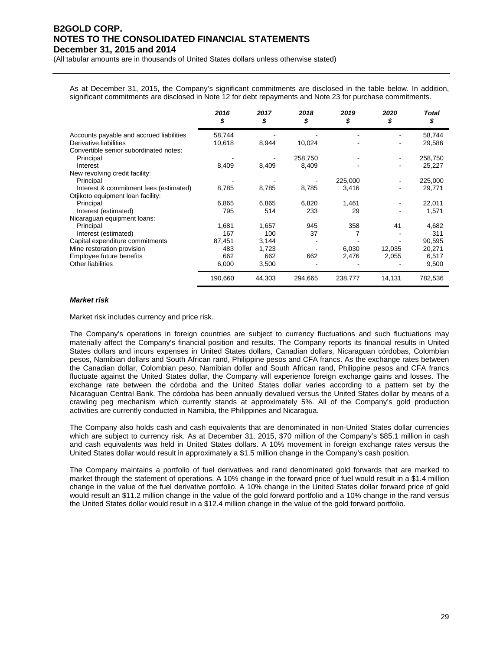(All tabular amounts are in thousands of United States dollars unless otherwise stated)

As at December 31, 2015, the Company's significant commitments are disclosed in the table below. In addition, significant commitments are disclosed in Note 12 for debt repayments and Note 23 for purchase commitments.

|                                          | 2016<br>\$ | 2017<br>S | 2018    | 2019    | 2020   | Total<br>\$ |
|------------------------------------------|------------|-----------|---------|---------|--------|-------------|
| Accounts payable and accrued liabilities | 58,744     |           |         |         |        | 58,744      |
| Derivative liabilities                   | 10,618     | 8,944     | 10,024  |         |        | 29,586      |
| Convertible senior subordinated notes:   |            |           |         |         |        |             |
| Principal                                |            |           | 258,750 |         |        | 258,750     |
| Interest                                 | 8,409      | 8,409     | 8,409   |         |        | 25,227      |
| New revolving credit facility:           |            |           |         |         |        |             |
| Principal                                |            |           |         | 225,000 |        | 225,000     |
| Interest & commitment fees (estimated)   | 8,785      | 8,785     | 8,785   | 3,416   |        | 29,771      |
| Otjikoto equipment loan facility:        |            |           |         |         |        |             |
| Principal                                | 6,865      | 6,865     | 6,820   | 1,461   |        | 22,011      |
| Interest (estimated)                     | 795        | 514       | 233     | 29      |        | 1,571       |
| Nicaraguan equipment loans:              |            |           |         |         |        |             |
| Principal                                | 1,681      | 1,657     | 945     | 358     | 41     | 4,682       |
| Interest (estimated)                     | 167        | 100       | 37      |         |        | 311         |
| Capital expenditure commitments          | 87,451     | 3,144     |         |         |        | 90,595      |
| Mine restoration provision               | 483        | 1,723     |         | 6,030   | 12,035 | 20,271      |
| Employee future benefits                 | 662        | 662       | 662     | 2,476   | 2,055  | 6,517       |
| <b>Other liabilities</b>                 | 6,000      | 3,500     |         |         |        | 9,500       |
|                                          | 190,660    | 44,303    | 294,665 | 238,777 | 14,131 | 782,536     |

### *Market risk*

Market risk includes currency and price risk.

The Company's operations in foreign countries are subject to currency fluctuations and such fluctuations may materially affect the Company's financial position and results. The Company reports its financial results in United States dollars and incurs expenses in United States dollars, Canadian dollars, Nicaraguan córdobas, Colombian pesos, Namibian dollars and South African rand, Philippine pesos and CFA francs. As the exchange rates between the Canadian dollar, Colombian peso, Namibian dollar and South African rand, Philippine pesos and CFA francs fluctuate against the United States dollar, the Company will experience foreign exchange gains and losses. The exchange rate between the córdoba and the United States dollar varies according to a pattern set by the Nicaraguan Central Bank. The córdoba has been annually devalued versus the United States dollar by means of a crawling peg mechanism which currently stands at approximately 5%. All of the Company's gold production activities are currently conducted in Namibia, the Philippines and Nicaragua.

The Company also holds cash and cash equivalents that are denominated in non-United States dollar currencies which are subject to currency risk. As at December 31, 2015, \$70 million of the Company's \$85.1 million in cash and cash equivalents was held in United States dollars. A 10% movement in foreign exchange rates versus the United States dollar would result in approximately a \$1.5 million change in the Company's cash position.

The Company maintains a portfolio of fuel derivatives and rand denominated gold forwards that are marked to market through the statement of operations. A 10% change in the forward price of fuel would result in a \$1.4 million change in the value of the fuel derivative portfolio. A 10% change in the United States dollar forward price of gold would result an \$11.2 million change in the value of the gold forward portfolio and a 10% change in the rand versus the United States dollar would result in a \$12.4 million change in the value of the gold forward portfolio.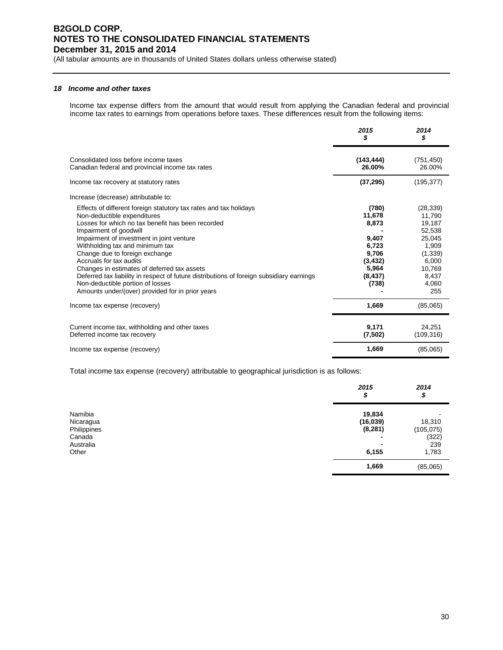(All tabular amounts are in thousands of United States dollars unless otherwise stated)

### *18 Income and other taxes*

Income tax expense differs from the amount that would result from applying the Canadian federal and provincial income tax rates to earnings from operations before taxes. These differences result from the following items:

|                                                                                                                                                                                                                                                                                                                                                                                                                                                                                                                                                                 | 2015<br>\$                                                                                    | 2014<br>\$                                                                                                         |
|-----------------------------------------------------------------------------------------------------------------------------------------------------------------------------------------------------------------------------------------------------------------------------------------------------------------------------------------------------------------------------------------------------------------------------------------------------------------------------------------------------------------------------------------------------------------|-----------------------------------------------------------------------------------------------|--------------------------------------------------------------------------------------------------------------------|
| Consolidated loss before income taxes<br>Canadian federal and provincial income tax rates                                                                                                                                                                                                                                                                                                                                                                                                                                                                       | (143, 444)<br>26.00%                                                                          | (751, 450)<br>26.00%                                                                                               |
| Income tax recovery at statutory rates                                                                                                                                                                                                                                                                                                                                                                                                                                                                                                                          | (37, 295)                                                                                     | (195, 377)                                                                                                         |
| Increase (decrease) attributable to:                                                                                                                                                                                                                                                                                                                                                                                                                                                                                                                            |                                                                                               |                                                                                                                    |
| Effects of different foreign statutory tax rates and tax holidays<br>Non-deductible expenditures<br>Losses for which no tax benefit has been recorded<br>Impairment of goodwill<br>Impairment of investment in joint venture<br>Withholding tax and minimum tax<br>Change due to foreign exchange<br>Accruals for tax audits<br>Changes in estimates of deferred tax assets<br>Deferred tax liability in respect of future distributions of foreign subsidiary earnings<br>Non-deductible portion of losses<br>Amounts under/(over) provided for in prior years | (780)<br>11,678<br>8,873<br>9,407<br>6,723<br>9,706<br>(3, 432)<br>5,964<br>(8, 437)<br>(738) | (28, 339)<br>11,790<br>19,187<br>52,538<br>25,045<br>1,909<br>(1, 339)<br>6,000<br>10,769<br>8,437<br>4,060<br>255 |
| Income tax expense (recovery)                                                                                                                                                                                                                                                                                                                                                                                                                                                                                                                                   | 1,669                                                                                         | (85,065)                                                                                                           |
| Current income tax, withholding and other taxes<br>Deferred income tax recovery                                                                                                                                                                                                                                                                                                                                                                                                                                                                                 | 9,171<br>(7,502)                                                                              | 24,251<br>(109, 316)                                                                                               |
| Income tax expense (recovery)                                                                                                                                                                                                                                                                                                                                                                                                                                                                                                                                   | 1,669                                                                                         | (85,065)                                                                                                           |

Total income tax expense (recovery) attributable to geographical jurisdiction is as follows:

|             | 2015<br>\$     | 2014<br>\$               |
|-------------|----------------|--------------------------|
| Namibia     | 19,834         | $\overline{\phantom{0}}$ |
| Nicaragua   | (16, 039)      | 18,310                   |
| Philippines | (8, 281)       | (105, 075)               |
| Canada      | $\blacksquare$ | (322)                    |
| Australia   | $\blacksquare$ | 239                      |
| Other       | 6,155          | 1,783                    |
|             | 1,669          | (85,065)                 |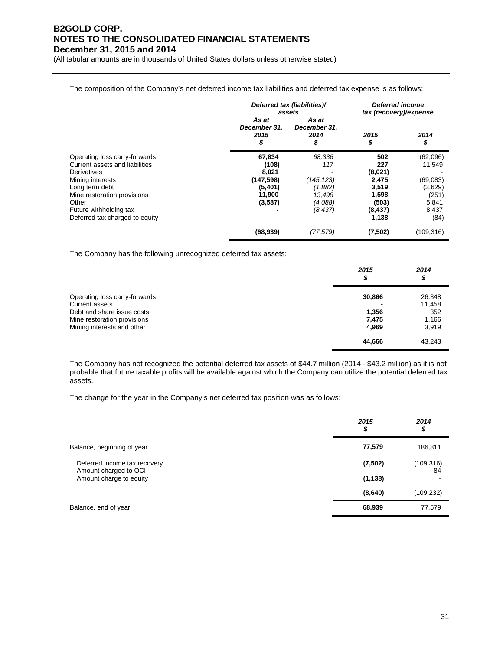(All tabular amounts are in thousands of United States dollars unless otherwise stated)

### The composition of the Company's net deferred income tax liabilities and deferred tax expense is as follows:

|                                |                                     | Deferred tax (liabilities)/<br>assets |            | Deferred income<br>tax (recovery)/expense |
|--------------------------------|-------------------------------------|---------------------------------------|------------|-------------------------------------------|
|                                | As at<br>December 31,<br>2015<br>\$ | As at<br>December 31,<br>2014<br>\$   | 2015<br>\$ | 2014<br>\$                                |
| Operating loss carry-forwards  | 67,834                              | 68,336                                | 502        | (62,096)                                  |
| Current assets and liabilities | (108)                               | 117                                   | 227        | 11,549                                    |
| Derivatives                    | 8,021                               |                                       | (8,021)    |                                           |
| Mining interests               | (147, 598)                          | (145, 123)                            | 2,475      | (69,083)                                  |
| Long term debt                 | (5,401)                             | (1,882)                               | 3,519      | (3,629)                                   |
| Mine restoration provisions    | 11,900                              | 13.498                                | 1,598      | (251)                                     |
| Other                          | (3,587)                             | (4.088)                               | (503)      | 5,841                                     |
| Future withholding tax         |                                     | (8, 437)                              | (8, 437)   | 8,437                                     |
| Deferred tax charged to equity |                                     |                                       | 1,138      | (84)                                      |
|                                | (68, 939)                           | (77.579)                              | (7,502)    | (109,316)                                 |

The Company has the following unrecognized deferred tax assets:

|                               | 2015<br>\$ | 2014<br>\$ |
|-------------------------------|------------|------------|
| Operating loss carry-forwards | 30,866     | 26,348     |
| Current assets                |            | 11,458     |
| Debt and share issue costs    | 1,356      | 352        |
| Mine restoration provisions   | 7,475      | 1,166      |
| Mining interests and other    | 4,969      | 3,919      |
|                               | 44,666     | 43,243     |

The Company has not recognized the potential deferred tax assets of \$44.7 million (2014 - \$43.2 million) as it is not probable that future taxable profits will be available against which the Company can utilize the potential deferred tax assets.

The change for the year in the Company's net deferred tax position was as follows:

|                                                                                  | 2015<br>\$           | 2014<br>\$       |
|----------------------------------------------------------------------------------|----------------------|------------------|
| Balance, beginning of year                                                       | 77,579               | 186,811          |
| Deferred income tax recovery<br>Amount charged to OCI<br>Amount charge to equity | (7, 502)<br>(1, 138) | (109, 316)<br>84 |
|                                                                                  | (8,640)              | (109, 232)       |
| Balance, end of year                                                             | 68,939               | 77,579           |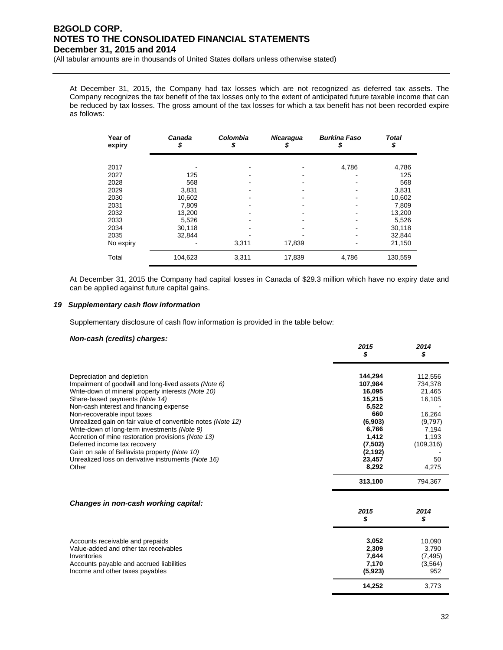(All tabular amounts are in thousands of United States dollars unless otherwise stated)

At December 31, 2015, the Company had tax losses which are not recognized as deferred tax assets. The Company recognizes the tax benefit of the tax losses only to the extent of anticipated future taxable income that can be reduced by tax losses. The gross amount of the tax losses for which a tax benefit has not been recorded expire as follows:

| Year of<br>expiry | Canada<br>\$     | Colombia<br>\$ | <b>Nicaragua</b><br>s | <b>Burkina Faso</b><br>\$ | <b>Total</b><br>\$ |
|-------------------|------------------|----------------|-----------------------|---------------------------|--------------------|
| 2017<br>2027      | 125              |                |                       | 4,786                     | 4,786<br>125       |
| 2028<br>2029      | 568<br>3,831     |                |                       |                           | 568<br>3,831       |
| 2030<br>2031      | 10,602<br>7,809  |                |                       |                           | 10,602<br>7,809    |
| 2032<br>2033      | 13,200<br>5,526  |                |                       |                           | 13,200<br>5,526    |
| 2034<br>2035      | 30,118<br>32,844 |                |                       |                           | 30,118<br>32,844   |
| No expiry         |                  | 3,311          | 17,839                |                           | 21,150             |
| Total             | 104,623          | 3,311          | 17,839                | 4,786                     | 130,559            |

At December 31, 2015 the Company had capital losses in Canada of \$29.3 million which have no expiry date and can be applied against future capital gains.

### *19 Supplementary cash flow information*

Supplementary disclosure of cash flow information is provided in the table below:

### *Non-cash (credits) charges:*

|                                                                                                              | 2015<br>S        | 2014<br>S        |
|--------------------------------------------------------------------------------------------------------------|------------------|------------------|
| Depreciation and depletion                                                                                   | 144,294          | 112,556          |
| Impairment of goodwill and long-lived assets (Note 6)                                                        | 107,984          | 734,378          |
| Write-down of mineral property interests (Note 10)                                                           | 16,095           | 21,465           |
| Share-based payments (Note 14)                                                                               | 15,215           | 16,105           |
| Non-cash interest and financing expense                                                                      | 5,522<br>660     | 16,264           |
| Non-recoverable input taxes                                                                                  |                  |                  |
| Unrealized gain on fair value of convertible notes (Note 12)<br>Write-down of long-term investments (Note 9) | (6,903)<br>6,766 | (9,797)<br>7,194 |
| Accretion of mine restoration provisions (Note 13)                                                           | 1,412            | 1,193            |
| Deferred income tax recovery                                                                                 | (7,502)          | (109, 316)       |
| Gain on sale of Bellavista property (Note 10)                                                                | (2, 192)         |                  |
| Unrealized loss on derivative instruments (Note 16)                                                          | 23,457           | 50               |
| Other                                                                                                        | 8,292            | 4,275            |
|                                                                                                              | 313,100          | 794,367          |
| Changes in non-cash working capital:                                                                         |                  |                  |
|                                                                                                              | 2015<br>\$       | 2014<br>\$       |
|                                                                                                              |                  |                  |
| Accounts receivable and prepaids                                                                             | 3,052            | 10,090           |
| Value-added and other tax receivables                                                                        | 2,309            | 3,790            |
| Inventories                                                                                                  | 7,644            | (7, 495)         |
| Accounts payable and accrued liabilities<br>Income and other taxes payables                                  | 7,170<br>(5,923) | (3, 564)<br>952  |
|                                                                                                              | 14,252           | 3,773            |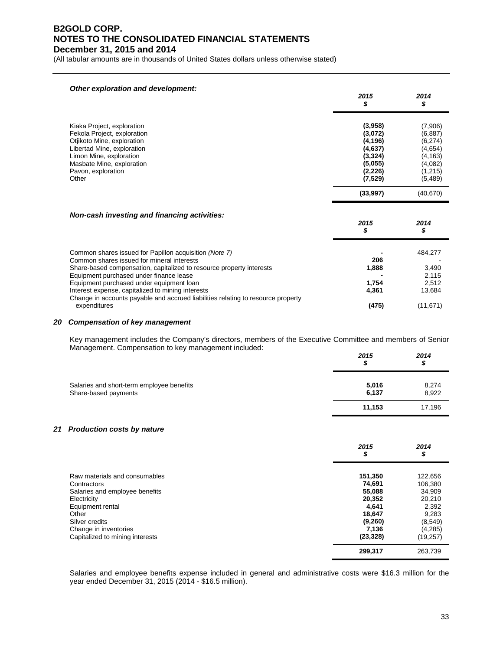(All tabular amounts are in thousands of United States dollars unless otherwise stated)

| Other exploration and development:                                                                                                                                                                                                                                                                                                                                                                                           |                                                                                         |                                                                                         |
|------------------------------------------------------------------------------------------------------------------------------------------------------------------------------------------------------------------------------------------------------------------------------------------------------------------------------------------------------------------------------------------------------------------------------|-----------------------------------------------------------------------------------------|-----------------------------------------------------------------------------------------|
|                                                                                                                                                                                                                                                                                                                                                                                                                              | 2015<br>\$                                                                              | 2014<br>\$                                                                              |
| Kiaka Project, exploration<br>Fekola Project, exploration<br>Otjikoto Mine, exploration<br>Libertad Mine, exploration<br>Limon Mine, exploration<br>Masbate Mine, exploration<br>Pavon, exploration<br>Other                                                                                                                                                                                                                 | (3,958)<br>(3,072)<br>(4, 196)<br>(4,637)<br>(3,324)<br>(5,055)<br>(2, 226)<br>(7, 529) | (7,906)<br>(6, 887)<br>(6,274)<br>(4,654)<br>(4, 163)<br>(4,082)<br>(1,215)<br>(5, 489) |
|                                                                                                                                                                                                                                                                                                                                                                                                                              | (33,997)                                                                                | (40, 670)                                                                               |
| Non-cash investing and financing activities:                                                                                                                                                                                                                                                                                                                                                                                 | 2015<br>\$                                                                              | 2014<br>\$                                                                              |
| Common shares issued for Papillon acquisition (Note 7)<br>Common shares issued for mineral interests<br>Share-based compensation, capitalized to resource property interests<br>Equipment purchased under finance lease<br>Equipment purchased under equipment loan<br>Interest expense, capitalized to mining interests<br>Change in accounts payable and accrued liabilities relating to resource property<br>expenditures | 206<br>1,888<br>1,754<br>4,361<br>(475)                                                 | 484,277<br>3,490<br>2,115<br>2,512<br>13,684<br>(11, 671)                               |

### *20 Compensation of key management*

Key management includes the Company's directors, members of the Executive Committee and members of Senior Management. Compensation to key management included:

|                                                                   | 2015<br>S      | 2014<br>\$     |
|-------------------------------------------------------------------|----------------|----------------|
| Salaries and short-term employee benefits<br>Share-based payments | 5,016<br>6,137 | 8,274<br>8,922 |
|                                                                   | 11.153         | 17,196         |

### *21 Production costs by nature*

|                                                              | 2015<br>\$                 | 2014<br>\$                  |
|--------------------------------------------------------------|----------------------------|-----------------------------|
| Raw materials and consumables                                | 151,350                    | 122,656                     |
| Contractors<br>Salaries and employee benefits<br>Electricity | 74,691<br>55,088<br>20,352 | 106.380<br>34,909<br>20,210 |
| Equipment rental<br>Other                                    | 4.641<br>18,647            | 2,392<br>9.283              |
| Silver credits<br>Change in inventories                      | (9,260)<br>7.136           | (8,549)<br>(4,285)          |
| Capitalized to mining interests                              | (23, 328)                  | (19,257)                    |
|                                                              | 299,317                    | 263.739                     |

Salaries and employee benefits expense included in general and administrative costs were \$16.3 million for the year ended December 31, 2015 (2014 - \$16.5 million).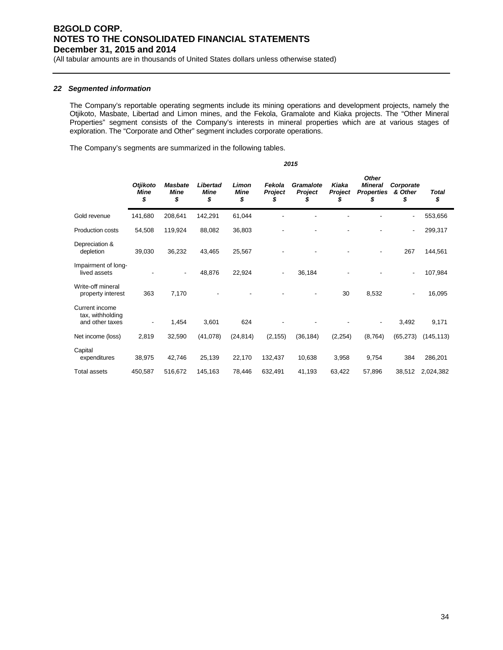(All tabular amounts are in thousands of United States dollars unless otherwise stated)

### *22 Segmented information*

The Company's reportable operating segments include its mining operations and development projects, namely the Otjikoto, Masbate, Libertad and Limon mines, and the Fekola, Gramalote and Kiaka projects. The "Other Mineral Properties" segment consists of the Company's interests in mineral properties which are at various stages of exploration. The "Corporate and Other" segment includes corporate operations.

The Company's segments are summarized in the following tables.

|                                                       | 2015                          |                                     |                               |                            |                   |                      |                         |                                                           |                            |                    |  |
|-------------------------------------------------------|-------------------------------|-------------------------------------|-------------------------------|----------------------------|-------------------|----------------------|-------------------------|-----------------------------------------------------------|----------------------------|--------------------|--|
|                                                       | Otjikoto<br><b>Mine</b><br>\$ | <b>Masbate</b><br><b>Mine</b><br>\$ | Libertad<br><b>Mine</b><br>\$ | Limon<br><b>Mine</b><br>\$ | Fekola<br>Project | Gramalote<br>Project | Kiaka<br><b>Project</b> | <b>Other</b><br><b>Mineral</b><br><b>Properties</b><br>\$ | Corporate<br>& Other<br>\$ | <b>Total</b><br>\$ |  |
| Gold revenue                                          | 141,680                       | 208,641                             | 142,291                       | 61,044                     |                   |                      |                         |                                                           | -                          | 553,656            |  |
| Production costs                                      | 54,508                        | 119,924                             | 88,082                        | 36,803                     |                   |                      |                         |                                                           | $\overline{\phantom{a}}$   | 299,317            |  |
| Depreciation &<br>depletion                           | 39,030                        | 36,232                              | 43,465                        | 25,567                     |                   |                      |                         |                                                           | 267                        | 144,561            |  |
| Impairment of long-<br>lived assets                   |                               | $\overline{\phantom{a}}$            | 48,876                        | 22,924                     |                   | 36,184               |                         |                                                           | -                          | 107,984            |  |
| Write-off mineral<br>property interest                | 363                           | 7,170                               |                               |                            |                   |                      | 30                      | 8,532                                                     | ۰                          | 16,095             |  |
| Current income<br>tax, withholding<br>and other taxes |                               | 1,454                               | 3,601                         | 624                        |                   |                      |                         |                                                           | 3,492                      | 9,171              |  |
| Net income (loss)                                     | 2,819                         | 32,590                              | (41,078)                      | (24, 814)                  | (2, 155)          | (36, 184)            | (2, 254)                | (8, 764)                                                  | (65, 273)                  | (145, 113)         |  |
| Capital<br>expenditures                               | 38,975                        | 42,746                              | 25,139                        | 22,170                     | 132,437           | 10,638               | 3,958                   | 9,754                                                     | 384                        | 286,201            |  |
| <b>Total assets</b>                                   | 450,587                       | 516,672                             | 145,163                       | 78,446                     | 632,491           | 41,193               | 63,422                  | 57,896                                                    | 38,512                     | 2,024,382          |  |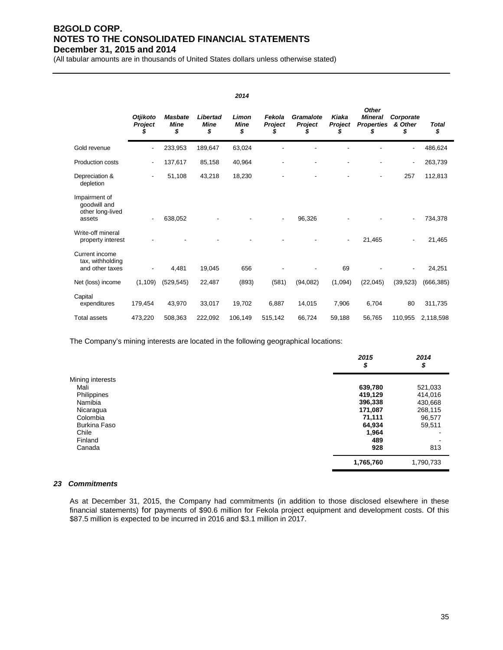(All tabular amounts are in thousands of United States dollars unless otherwise stated)

|                                                             | ---                        |                                     |                               |                            |                          |                             |                          |                                                           |                            |                    |  |
|-------------------------------------------------------------|----------------------------|-------------------------------------|-------------------------------|----------------------------|--------------------------|-----------------------------|--------------------------|-----------------------------------------------------------|----------------------------|--------------------|--|
|                                                             | Otjikoto<br><b>Project</b> | <b>Masbate</b><br><b>Mine</b><br>\$ | Libertad<br><b>Mine</b><br>\$ | Limon<br><b>Mine</b><br>\$ | Fekola<br><b>Project</b> | <b>Gramalote</b><br>Project | Kiaka<br><b>Project</b>  | <b>Other</b><br><b>Mineral</b><br><b>Properties</b><br>\$ | Corporate<br>& Other<br>\$ | <b>Total</b><br>\$ |  |
| Gold revenue                                                |                            | 233,953                             | 189,647                       | 63,024                     |                          |                             |                          |                                                           |                            | 486,624            |  |
| <b>Production costs</b>                                     |                            | 137,617                             | 85,158                        | 40,964                     |                          |                             |                          |                                                           | -                          | 263,739            |  |
| Depreciation &<br>depletion                                 | $\overline{\phantom{a}}$   | 51,108                              | 43,218                        | 18,230                     |                          |                             |                          | ٠                                                         | 257                        | 112,813            |  |
| Impairment of<br>goodwill and<br>other long-lived<br>assets |                            | 638,052                             |                               |                            | $\overline{\phantom{a}}$ | 96,326                      |                          |                                                           | ٠                          | 734,378            |  |
| Write-off mineral<br>property interest                      |                            |                                     |                               |                            |                          |                             | $\overline{\phantom{a}}$ | 21,465                                                    |                            | 21,465             |  |
| Current income<br>tax, withholding<br>and other taxes       |                            | 4,481                               | 19,045                        | 656                        |                          |                             | 69                       |                                                           |                            | 24,251             |  |
| Net (loss) income                                           | (1, 109)                   | (529, 545)                          | 22,487                        | (893)                      | (581)                    | (94,082)                    | (1,094)                  | (22, 045)                                                 | (39, 523)                  | (666, 385)         |  |
| Capital<br>expenditures                                     | 179,454                    | 43,970                              | 33,017                        | 19,702                     | 6,887                    | 14,015                      | 7,906                    | 6,704                                                     | 80                         | 311,735            |  |
| <b>Total assets</b>                                         | 473,220                    | 508,363                             | 222,092                       | 106,149                    | 515,142                  | 66,724                      | 59,188                   | 56,765                                                    | 110,955                    | 2,118,598          |  |

*2014*

The Company's mining interests are located in the following geographical locations:

|                     | 2015<br>\$ | 2014<br>\$ |
|---------------------|------------|------------|
| Mining interests    |            |            |
| Mali                | 639,780    | 521,033    |
| Philippines         | 419,129    | 414,016    |
| Namibia             | 396,338    | 430,668    |
| Nicaragua           | 171,087    | 268,115    |
| Colombia            | 71,111     | 96,577     |
| <b>Burkina Faso</b> | 64,934     | 59,511     |
| Chile               | 1,964      |            |
| Finland             | 489        |            |
| Canada              | 928        | 813        |
|                     | 1,765,760  | 1,790,733  |

### *23 Commitments*

As at December 31, 2015, the Company had commitments (in addition to those disclosed elsewhere in these financial statements) for payments of \$90.6 million for Fekola project equipment and development costs. Of this \$87.5 million is expected to be incurred in 2016 and \$3.1 million in 2017.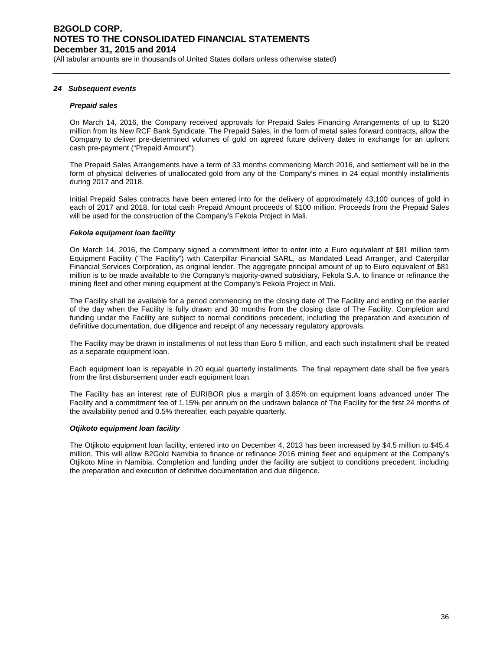(All tabular amounts are in thousands of United States dollars unless otherwise stated)

### *24 Subsequent events*

#### *Prepaid sales*

On March 14, 2016, the Company received approvals for Prepaid Sales Financing Arrangements of up to \$120 million from its New RCF Bank Syndicate. The Prepaid Sales, in the form of metal sales forward contracts, allow the Company to deliver pre-determined volumes of gold on agreed future delivery dates in exchange for an upfront cash pre-payment ("Prepaid Amount").

The Prepaid Sales Arrangements have a term of 33 months commencing March 2016, and settlement will be in the form of physical deliveries of unallocated gold from any of the Company's mines in 24 equal monthly installments during 2017 and 2018.

Initial Prepaid Sales contracts have been entered into for the delivery of approximately 43,100 ounces of gold in each of 2017 and 2018, for total cash Prepaid Amount proceeds of \$100 million. Proceeds from the Prepaid Sales will be used for the construction of the Company's Fekola Project in Mali.

### *Fekola equipment loan facility*

On March 14, 2016, the Company signed a commitment letter to enter into a Euro equivalent of \$81 million term Equipment Facility ("The Facility") with Caterpillar Financial SARL, as Mandated Lead Arranger, and Caterpillar Financial Services Corporation, as original lender. The aggregate principal amount of up to Euro equivalent of \$81 million is to be made available to the Company's majority-owned subsidiary, Fekola S.A. to finance or refinance the mining fleet and other mining equipment at the Company's Fekola Project in Mali.

The Facility shall be available for a period commencing on the closing date of The Facility and ending on the earlier of the day when the Facility is fully drawn and 30 months from the closing date of The Facility. Completion and funding under the Facility are subject to normal conditions precedent, including the preparation and execution of definitive documentation, due diligence and receipt of any necessary regulatory approvals.

The Facility may be drawn in installments of not less than Euro 5 million, and each such installment shall be treated as a separate equipment loan.

Each equipment loan is repayable in 20 equal quarterly installments. The final repayment date shall be five years from the first disbursement under each equipment loan.

The Facility has an interest rate of EURIBOR plus a margin of 3.85% on equipment loans advanced under The Facility and a commitment fee of 1.15% per annum on the undrawn balance of The Facility for the first 24 months of the availability period and 0.5% thereafter, each payable quarterly.

### *Otjikoto equipment loan facility*

The Otjikoto equipment loan facility, entered into on December 4, 2013 has been increased by \$4.5 million to \$45.4 million. This will allow B2Gold Namibia to finance or refinance 2016 mining fleet and equipment at the Company's Otjikoto Mine in Namibia. Completion and funding under the facility are subject to conditions precedent, including the preparation and execution of definitive documentation and due diligence.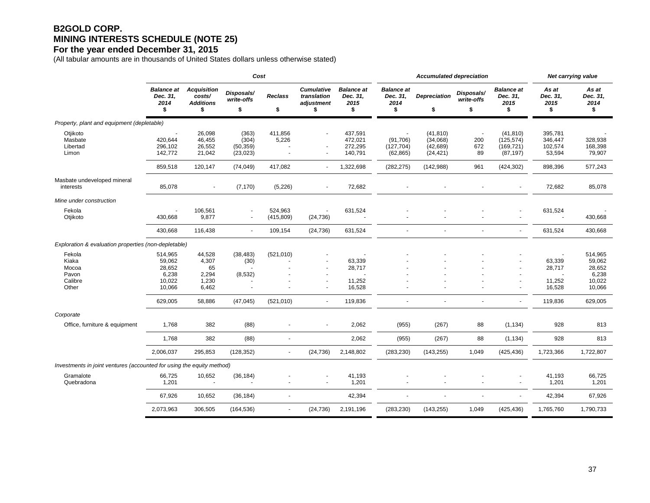# **B2GOLD CORP. MINING INTERESTS SCHEDULE (NOTE 25)**

### **For the year ended December 31, 2015**

(All tabular amounts are in thousands of United States dollars unless otherwise stated)

|                                                                       | Cost                                                     |                                                        |                                          |                       |                                                      |                                             |                                             | <b>Accumulated depreciation</b>                 | Net carrying value                           |                                                    |                                         |                                                          |
|-----------------------------------------------------------------------|----------------------------------------------------------|--------------------------------------------------------|------------------------------------------|-----------------------|------------------------------------------------------|---------------------------------------------|---------------------------------------------|-------------------------------------------------|----------------------------------------------|----------------------------------------------------|-----------------------------------------|----------------------------------------------------------|
|                                                                       | <b>Balance at</b><br>Dec. 31,<br>2014<br>\$              | <b>Acquisition</b><br>costs/<br><b>Additions</b><br>\$ | Disposals/<br>write-offs<br>\$           | <b>Reclass</b><br>\$  | <b>Cumulative</b><br>translation<br>adjustment<br>\$ | <b>Balance at</b><br>Dec. 31,<br>2015<br>\$ | <b>Balance at</b><br>Dec. 31,<br>2014<br>\$ | <b>Depreciation</b><br>\$                       | Disposals/<br>write-offs<br>\$               | <b>Balance at</b><br>Dec. 31,<br>2015<br>\$        | As at<br>Dec. 31,<br>2015<br>\$         | As at<br>Dec. 31,<br>2014<br>\$                          |
| Property, plant and equipment (depletable)                            |                                                          |                                                        |                                          |                       |                                                      |                                             |                                             |                                                 |                                              |                                                    |                                         |                                                          |
| Otjikoto<br>Masbate<br>Libertad<br>Limon                              | 420,644<br>296,102<br>142,772                            | 26,098<br>46,455<br>26,552<br>21,042                   | (363)<br>(304)<br>(50, 359)<br>(23, 023) | 411,856<br>5,226      |                                                      | 437,591<br>472,021<br>272,295<br>140,791    | (91, 706)<br>(127, 704)<br>(62, 865)        | (41, 810)<br>(34,068)<br>(42, 689)<br>(24, 421) | $\overline{\phantom{a}}$<br>200<br>672<br>89 | (41, 810)<br>(125, 574)<br>(169, 721)<br>(87, 197) | 395,781<br>346,447<br>102,574<br>53,594 | 328,938<br>168,398<br>79,907                             |
|                                                                       | 859,518                                                  | 120,147                                                | (74, 049)                                | 417,082               |                                                      | 1,322,698                                   | (282, 275)                                  | (142,988)                                       | 961                                          | (424, 302)                                         | 898,396                                 | 577,243                                                  |
| Masbate undeveloped mineral<br>interests                              | 85,078                                                   |                                                        | (7, 170)                                 | (5, 226)              |                                                      | 72,682                                      |                                             |                                                 |                                              |                                                    | 72,682                                  | 85,078                                                   |
| Mine under construction                                               |                                                          |                                                        |                                          |                       |                                                      |                                             |                                             |                                                 |                                              |                                                    |                                         |                                                          |
| Fekola<br>Otjikoto                                                    | 430,668                                                  | 106,561<br>9,877                                       | $\blacksquare$                           | 524,963<br>(415, 809) | (24, 736)                                            | 631,524                                     |                                             |                                                 |                                              |                                                    | 631,524<br>$\sim$                       | 430,668                                                  |
|                                                                       | 430,668                                                  | 116,438                                                | $\blacksquare$                           | 109,154               | (24, 736)                                            | 631,524                                     |                                             |                                                 |                                              | ÷                                                  | 631,524                                 | 430,668                                                  |
| Exploration & evaluation properties (non-depletable)                  |                                                          |                                                        |                                          |                       |                                                      |                                             |                                             |                                                 |                                              |                                                    |                                         |                                                          |
| Fekola<br>Kiaka<br>Mocoa<br>Pavon<br>Calibre<br>Other                 | 514,965<br>59,062<br>28,652<br>6,238<br>10,022<br>10,066 | 44,528<br>4,307<br>65<br>2,294<br>1,230<br>6,462       | (38, 483)<br>(30)<br>(8, 532)            | (521, 010)            |                                                      | 63,339<br>28,717<br>11,252<br>16,528        |                                             |                                                 |                                              | $\blacksquare$<br>$\blacksquare$<br>$\blacksquare$ | 63,339<br>28,717<br>11,252<br>16,528    | 514,965<br>59,062<br>28,652<br>6,238<br>10,022<br>10,066 |
|                                                                       | 629,005                                                  | 58,886                                                 | (47, 045)                                | (521, 010)            |                                                      | 119,836                                     |                                             | $\sim$                                          | ä,                                           | ä,                                                 | 119,836                                 | 629,005                                                  |
| Corporate                                                             |                                                          |                                                        |                                          |                       |                                                      |                                             |                                             |                                                 |                                              |                                                    |                                         |                                                          |
| Office, furniture & equipment                                         | 1,768                                                    | 382                                                    | (88)                                     |                       | $\sim$                                               | 2,062                                       | (955)                                       | (267)                                           | 88                                           | (1, 134)                                           | 928                                     | 813                                                      |
|                                                                       | 1,768                                                    | 382                                                    | (88)                                     | $\sim$                |                                                      | 2,062                                       | (955)                                       | (267)                                           | 88                                           | (1, 134)                                           | 928                                     | 813                                                      |
|                                                                       | 2,006,037                                                | 295,853                                                | (128, 352)                               |                       | (24, 736)                                            | 2,148,802                                   | (283, 230)                                  | (143, 255)                                      | 1,049                                        | (425, 436)                                         | 1,723,366                               | 1,722,807                                                |
| Investments in joint ventures (accounted for using the equity method) |                                                          |                                                        |                                          |                       |                                                      |                                             |                                             |                                                 |                                              |                                                    |                                         |                                                          |
| Gramalote<br>Quebradona                                               | 66,725<br>1,201                                          | 10,652                                                 | (36, 184)                                |                       |                                                      | 41,193<br>1,201                             |                                             |                                                 |                                              |                                                    | 41,193<br>1,201                         | 66,725<br>1,201                                          |
|                                                                       | 67,926                                                   | 10,652                                                 | (36, 184)                                | $\sim$                |                                                      | 42,394                                      | $\sim$                                      | ÷,                                              | ä,                                           | ä,                                                 | 42,394                                  | 67,926                                                   |
|                                                                       | 2,073,963                                                | 306,505                                                | (164, 536)                               |                       | (24, 736)                                            | 2,191,196                                   | (283, 230)                                  | (143, 255)                                      | 1,049                                        | (425, 436)                                         | 1,765,760                               | 1,790,733                                                |
|                                                                       |                                                          |                                                        |                                          |                       |                                                      |                                             |                                             |                                                 |                                              |                                                    |                                         |                                                          |